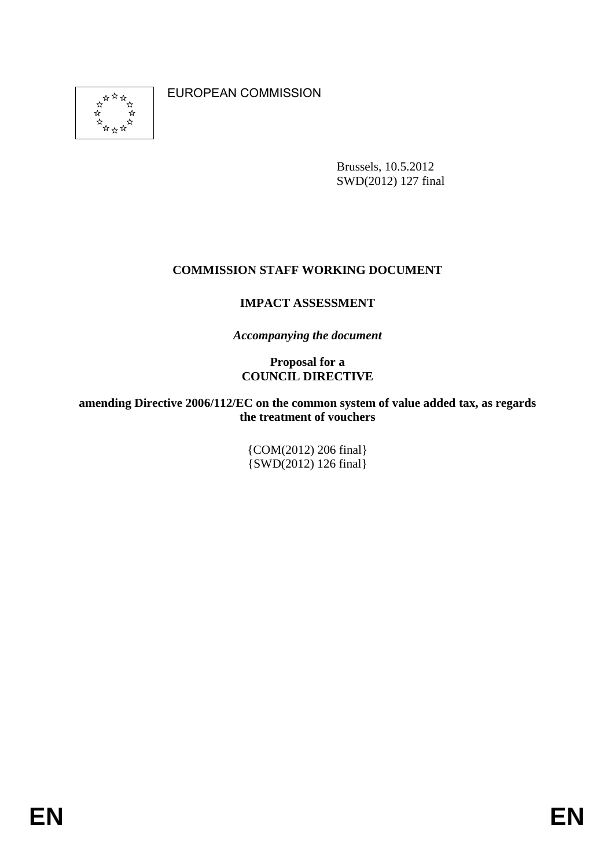\*\* \*\* \*\*<br>\*\* \*\* \*\*<br>\*\* \*\* \*\*

EUROPEAN COMMISSION

Brussels, 10.5.2012 SWD(2012) 127 final

### **COMMISSION STAFF WORKING DOCUMENT**

### **IMPACT ASSESSMENT**

*Accompanying the document* 

### **Proposal for a COUNCIL DIRECTIVE**

#### **amending Directive 2006/112/EC on the common system of value added tax, as regards the treatment of vouchers**

{COM(2012) 206 final} {SWD(2012) 126 final}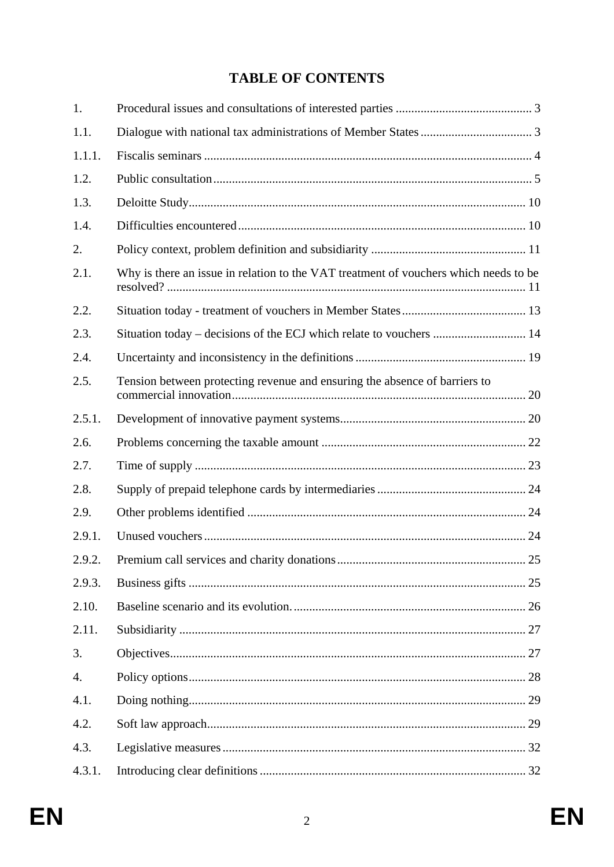# **TABLE OF CONTENTS**

| 1.     |                                                                                      |    |
|--------|--------------------------------------------------------------------------------------|----|
| 1.1.   |                                                                                      |    |
| 1.1.1. |                                                                                      |    |
| 1.2.   |                                                                                      |    |
| 1.3.   |                                                                                      |    |
| 1.4.   |                                                                                      |    |
| 2.     |                                                                                      |    |
| 2.1.   | Why is there an issue in relation to the VAT treatment of vouchers which needs to be |    |
| 2.2.   |                                                                                      |    |
| 2.3.   | Situation today – decisions of the ECJ which relate to vouchers  14                  |    |
| 2.4.   |                                                                                      |    |
| 2.5.   | Tension between protecting revenue and ensuring the absence of barriers to           |    |
| 2.5.1. |                                                                                      |    |
| 2.6.   |                                                                                      |    |
| 2.7.   |                                                                                      |    |
| 2.8.   |                                                                                      |    |
| 2.9.   |                                                                                      |    |
| 2.9.1. |                                                                                      |    |
| 2.9.2  | Premium call services and charity donations                                          | 25 |
| 2.9.3. |                                                                                      |    |
| 2.10.  |                                                                                      |    |
| 2.11.  |                                                                                      |    |
| 3.     |                                                                                      |    |
| 4.     |                                                                                      |    |
| 4.1.   |                                                                                      |    |
| 4.2.   |                                                                                      |    |
| 4.3.   |                                                                                      |    |
| 4.3.1. |                                                                                      |    |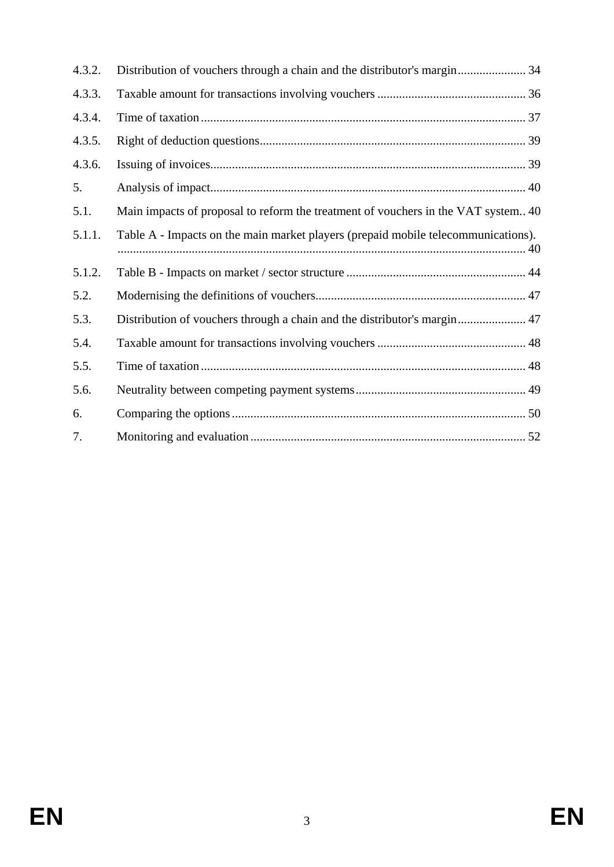| 4.3.2. |                                                                                   |
|--------|-----------------------------------------------------------------------------------|
| 4.3.3. |                                                                                   |
| 4.3.4. |                                                                                   |
| 4.3.5. |                                                                                   |
| 4.3.6. |                                                                                   |
| 5.     |                                                                                   |
| 5.1.   | Main impacts of proposal to reform the treatment of vouchers in the VAT system 40 |
| 5.1.1. | Table A - Impacts on the main market players (prepaid mobile telecommunications). |
| 5.1.2. |                                                                                   |
| 5.2.   |                                                                                   |
| 5.3.   | Distribution of vouchers through a chain and the distributor's margin 47          |
| 5.4.   |                                                                                   |
| 5.5.   |                                                                                   |
| 5.6.   |                                                                                   |
| 6.     |                                                                                   |
| 7.     |                                                                                   |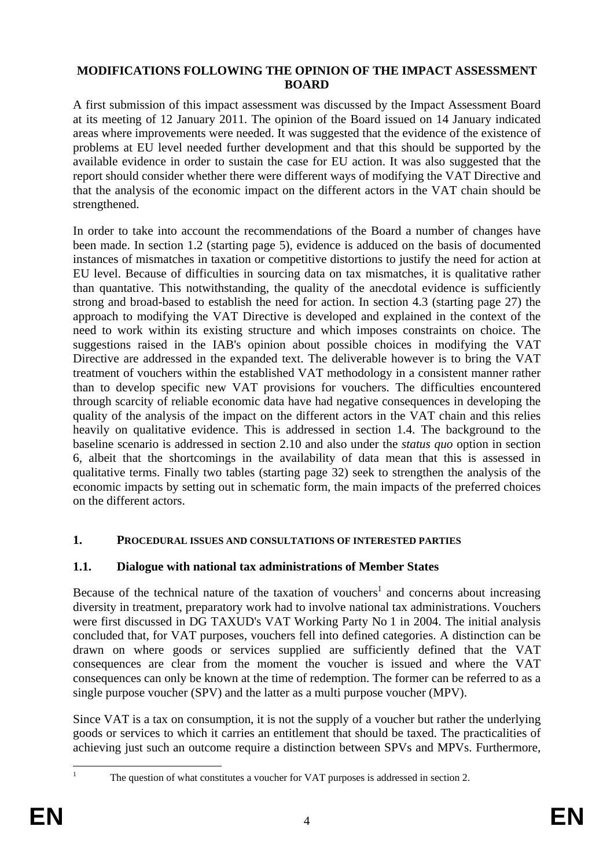#### **MODIFICATIONS FOLLOWING THE OPINION OF THE IMPACT ASSESSMENT BOARD**

A first submission of this impact assessment was discussed by the Impact Assessment Board at its meeting of 12 January 2011. The opinion of the Board issued on 14 January indicated areas where improvements were needed. It was suggested that the evidence of the existence of problems at EU level needed further development and that this should be supported by the available evidence in order to sustain the case for EU action. It was also suggested that the report should consider whether there were different ways of modifying the VAT Directive and that the analysis of the economic impact on the different actors in the VAT chain should be strengthened.

In order to take into account the recommendations of the Board a number of changes have been made. In section 1.2 (starting page 5), evidence is adduced on the basis of documented instances of mismatches in taxation or competitive distortions to justify the need for action at EU level. Because of difficulties in sourcing data on tax mismatches, it is qualitative rather than quantative. This notwithstanding, the quality of the anecdotal evidence is sufficiently strong and broad-based to establish the need for action. In section 4.3 (starting page 27) the approach to modifying the VAT Directive is developed and explained in the context of the need to work within its existing structure and which imposes constraints on choice. The suggestions raised in the IAB's opinion about possible choices in modifying the VAT Directive are addressed in the expanded text. The deliverable however is to bring the VAT treatment of vouchers within the established VAT methodology in a consistent manner rather than to develop specific new VAT provisions for vouchers. The difficulties encountered through scarcity of reliable economic data have had negative consequences in developing the quality of the analysis of the impact on the different actors in the VAT chain and this relies heavily on qualitative evidence. This is addressed in section 1.4. The background to the baseline scenario is addressed in section 2.10 and also under the *status quo* option in section 6, albeit that the shortcomings in the availability of data mean that this is assessed in qualitative terms. Finally two tables (starting page 32) seek to strengthen the analysis of the economic impacts by setting out in schematic form, the main impacts of the preferred choices on the different actors.

# <span id="page-3-0"></span>**1. PROCEDURAL ISSUES AND CONSULTATIONS OF INTERESTED PARTIES**

# <span id="page-3-1"></span>**1.1. Dialogue with national tax administrations of Member States**

Because of the technical nature of the taxation of vouchers<sup>1</sup> and concerns about increasing diversity in treatment, preparatory work had to involve national tax administrations. Vouchers were first discussed in DG TAXUD's VAT Working Party No 1 in 2004. The initial analysis concluded that, for VAT purposes, vouchers fell into defined categories. A distinction can be drawn on where goods or services supplied are sufficiently defined that the VAT consequences are clear from the moment the voucher is issued and where the VAT consequences can only be known at the time of redemption. The former can be referred to as a single purpose voucher (SPV) and the latter as a multi purpose voucher (MPV).

Since VAT is a tax on consumption, it is not the supply of a voucher but rather the underlying goods or services to which it carries an entitlement that should be taxed. The practicalities of achieving just such an outcome require a distinction between SPVs and MPVs. Furthermore,

1

1

The question of what constitutes a voucher for VAT purposes is addressed in section 2.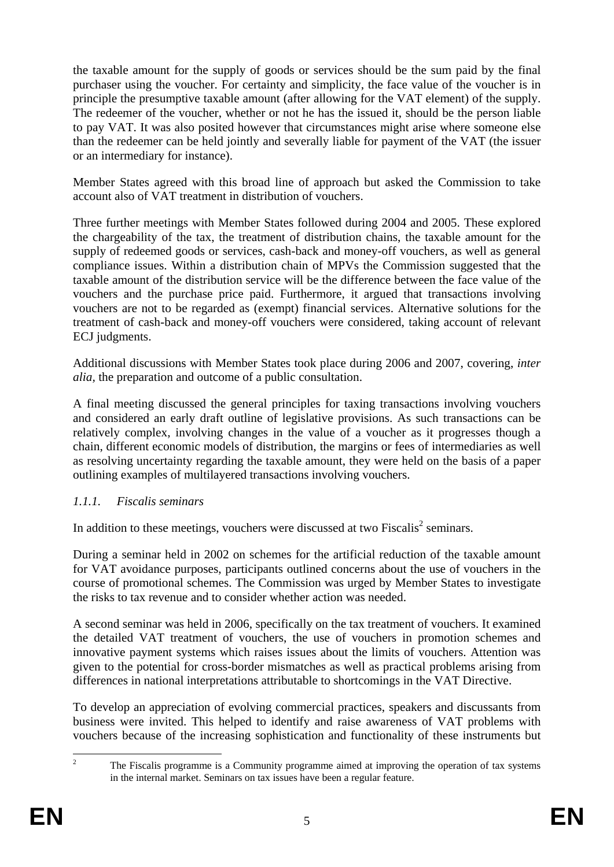the taxable amount for the supply of goods or services should be the sum paid by the final purchaser using the voucher. For certainty and simplicity, the face value of the voucher is in principle the presumptive taxable amount (after allowing for the VAT element) of the supply. The redeemer of the voucher, whether or not he has the issued it, should be the person liable to pay VAT. It was also posited however that circumstances might arise where someone else than the redeemer can be held jointly and severally liable for payment of the VAT (the issuer or an intermediary for instance).

Member States agreed with this broad line of approach but asked the Commission to take account also of VAT treatment in distribution of vouchers.

Three further meetings with Member States followed during 2004 and 2005. These explored the chargeability of the tax, the treatment of distribution chains, the taxable amount for the supply of redeemed goods or services, cash-back and money-off vouchers, as well as general compliance issues. Within a distribution chain of MPVs the Commission suggested that the taxable amount of the distribution service will be the difference between the face value of the vouchers and the purchase price paid. Furthermore, it argued that transactions involving vouchers are not to be regarded as (exempt) financial services. Alternative solutions for the treatment of cash-back and money-off vouchers were considered, taking account of relevant ECJ judgments.

Additional discussions with Member States took place during 2006 and 2007, covering, *inter alia,* the preparation and outcome of a public consultation.

A final meeting discussed the general principles for taxing transactions involving vouchers and considered an early draft outline of legislative provisions. As such transactions can be relatively complex, involving changes in the value of a voucher as it progresses though a chain, different economic models of distribution, the margins or fees of intermediaries as well as resolving uncertainty regarding the taxable amount, they were held on the basis of a paper outlining examples of multilayered transactions involving vouchers.

### <span id="page-4-0"></span>*1.1.1. Fiscalis seminars*

In addition to these meetings, vouchers were discussed at two Fiscalis<sup>2</sup> seminars.

During a seminar held in 2002 on schemes for the artificial reduction of the taxable amount for VAT avoidance purposes, participants outlined concerns about the use of vouchers in the course of promotional schemes. The Commission was urged by Member States to investigate the risks to tax revenue and to consider whether action was needed.

A second seminar was held in 2006, specifically on the tax treatment of vouchers. It examined the detailed VAT treatment of vouchers, the use of vouchers in promotion schemes and innovative payment systems which raises issues about the limits of vouchers. Attention was given to the potential for cross-border mismatches as well as practical problems arising from differences in national interpretations attributable to shortcomings in the VAT Directive.

To develop an appreciation of evolving commercial practices, speakers and discussants from business were invited. This helped to identify and raise awareness of VAT problems with vouchers because of the increasing sophistication and functionality of these instruments but

 $\frac{1}{2}$  The Fiscalis programme is a Community programme aimed at improving the operation of tax systems in the internal market. Seminars on tax issues have been a regular feature.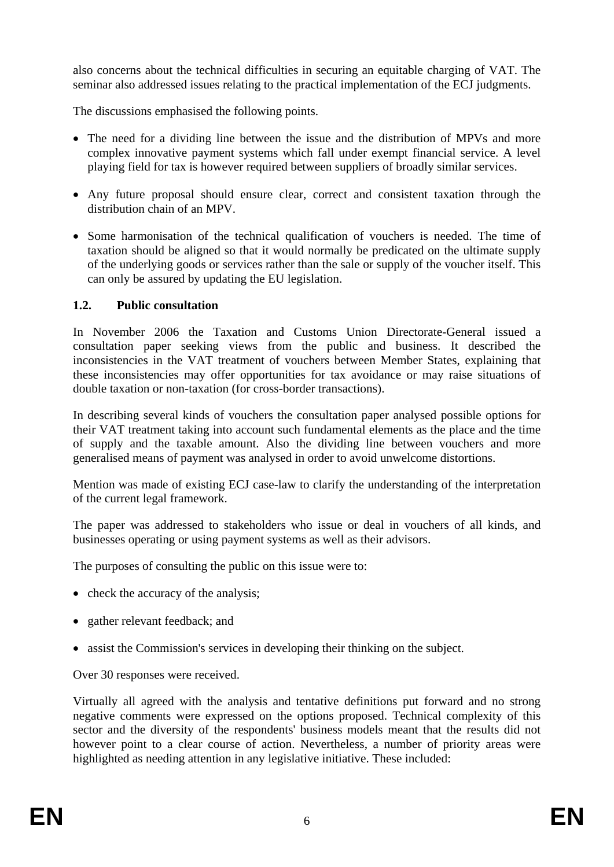also concerns about the technical difficulties in securing an equitable charging of VAT. The seminar also addressed issues relating to the practical implementation of the ECJ judgments.

The discussions emphasised the following points.

- The need for a dividing line between the issue and the distribution of MPVs and more complex innovative payment systems which fall under exempt financial service. A level playing field for tax is however required between suppliers of broadly similar services.
- Any future proposal should ensure clear, correct and consistent taxation through the distribution chain of an MPV.
- Some harmonisation of the technical qualification of vouchers is needed. The time of taxation should be aligned so that it would normally be predicated on the ultimate supply of the underlying goods or services rather than the sale or supply of the voucher itself. This can only be assured by updating the EU legislation.

### <span id="page-5-0"></span>**1.2. Public consultation**

In November 2006 the Taxation and Customs Union Directorate-General issued a consultation paper seeking views from the public and business. It described the inconsistencies in the VAT treatment of vouchers between Member States, explaining that these inconsistencies may offer opportunities for tax avoidance or may raise situations of double taxation or non-taxation (for cross-border transactions).

In describing several kinds of vouchers the consultation paper analysed possible options for their VAT treatment taking into account such fundamental elements as the place and the time of supply and the taxable amount. Also the dividing line between vouchers and more generalised means of payment was analysed in order to avoid unwelcome distortions.

Mention was made of existing ECJ case-law to clarify the understanding of the interpretation of the current legal framework.

The paper was addressed to stakeholders who issue or deal in vouchers of all kinds, and businesses operating or using payment systems as well as their advisors.

The purposes of consulting the public on this issue were to:

- check the accuracy of the analysis;
- gather relevant feedback; and
- assist the Commission's services in developing their thinking on the subject.

Over 30 responses were received.

Virtually all agreed with the analysis and tentative definitions put forward and no strong negative comments were expressed on the options proposed. Technical complexity of this sector and the diversity of the respondents' business models meant that the results did not however point to a clear course of action. Nevertheless, a number of priority areas were highlighted as needing attention in any legislative initiative. These included: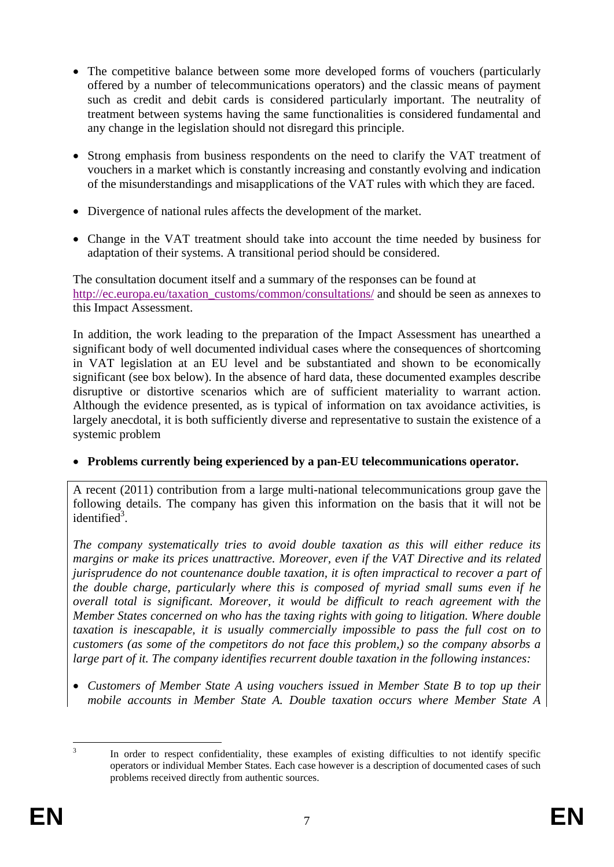- The competitive balance between some more developed forms of vouchers (particularly offered by a number of telecommunications operators) and the classic means of payment such as credit and debit cards is considered particularly important. The neutrality of treatment between systems having the same functionalities is considered fundamental and any change in the legislation should not disregard this principle.
- Strong emphasis from business respondents on the need to clarify the VAT treatment of vouchers in a market which is constantly increasing and constantly evolving and indication of the misunderstandings and misapplications of the VAT rules with which they are faced.
- Divergence of national rules affects the development of the market.
- Change in the VAT treatment should take into account the time needed by business for adaptation of their systems. A transitional period should be considered.

The consultation document itself and a summary of the responses can be found at [http://ec.europa.eu/taxation\\_customs/common/consultations/](http://ec.europa.eu/taxation_customs/common/consultations/) and should be seen as annexes to this Impact Assessment.

In addition, the work leading to the preparation of the Impact Assessment has unearthed a significant body of well documented individual cases where the consequences of shortcoming in VAT legislation at an EU level and be substantiated and shown to be economically significant (see box below). In the absence of hard data, these documented examples describe disruptive or distortive scenarios which are of sufficient materiality to warrant action. Although the evidence presented, as is typical of information on tax avoidance activities, is largely anecdotal, it is both sufficiently diverse and representative to sustain the existence of a systemic problem

### • **Problems currently being experienced by a pan-EU telecommunications operator.**

A recent (2011) contribution from a large multi-national telecommunications group gave the following details. The company has given this information on the basis that it will not be identified<sup>3</sup>.

*The company systematically tries to avoid double taxation as this will either reduce its margins or make its prices unattractive. Moreover, even if the VAT Directive and its related jurisprudence do not countenance double taxation, it is often impractical to recover a part of the double charge, particularly where this is composed of myriad small sums even if he overall total is significant. Moreover, it would be difficult to reach agreement with the Member States concerned on who has the taxing rights with going to litigation. Where double taxation is inescapable, it is usually commercially impossible to pass the full cost on to customers (as some of the competitors do not face this problem,) so the company absorbs a large part of it. The company identifies recurrent double taxation in the following instances:* 

• *Customers of Member State A using vouchers issued in Member State B to top up their mobile accounts in Member State A. Double taxation occurs where Member State A* 

 $\frac{1}{3}$ 

In order to respect confidentiality, these examples of existing difficulties to not identify specific operators or individual Member States. Each case however is a description of documented cases of such problems received directly from authentic sources.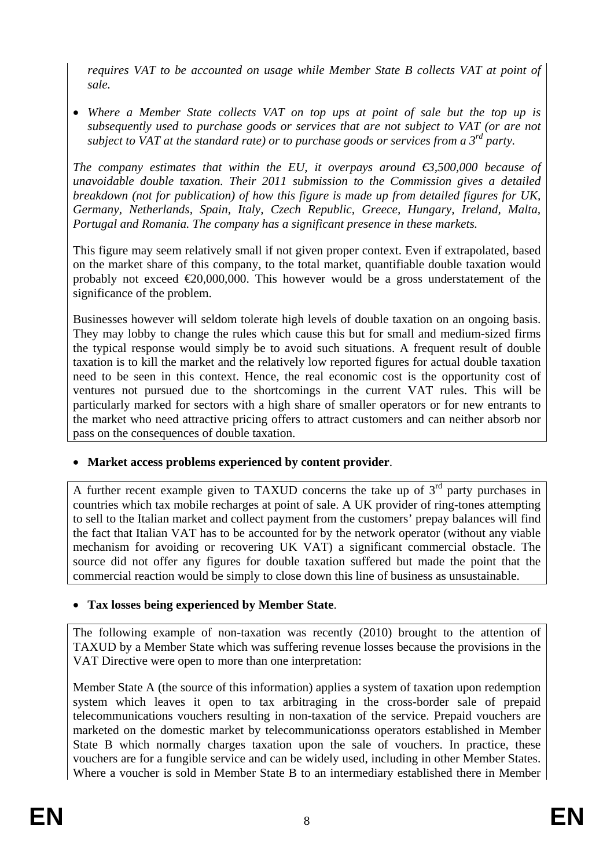*requires VAT to be accounted on usage while Member State B collects VAT at point of sale.* 

• *Where a Member State collects VAT on top ups at point of sale but the top up is subsequently used to purchase goods or services that are not subject to VAT (or are not subject to VAT at the standard rate) or to purchase goods or services from a 3rd party.* 

*The company estimates that within the EU, it overpays around*  $\epsilon$ *3,500,000 because of unavoidable double taxation. Their 2011 submission to the Commission gives a detailed breakdown (not for publication) of how this figure is made up from detailed figures for UK, Germany, Netherlands, Spain, Italy, Czech Republic, Greece, Hungary, Ireland, Malta, Portugal and Romania. The company has a significant presence in these markets.* 

This figure may seem relatively small if not given proper context. Even if extrapolated, based on the market share of this company, to the total market, quantifiable double taxation would probably not exceed  $\epsilon$ 20,000,000. This however would be a gross understatement of the significance of the problem.

Businesses however will seldom tolerate high levels of double taxation on an ongoing basis. They may lobby to change the rules which cause this but for small and medium-sized firms the typical response would simply be to avoid such situations. A frequent result of double taxation is to kill the market and the relatively low reported figures for actual double taxation need to be seen in this context. Hence, the real economic cost is the opportunity cost of ventures not pursued due to the shortcomings in the current VAT rules. This will be particularly marked for sectors with a high share of smaller operators or for new entrants to the market who need attractive pricing offers to attract customers and can neither absorb nor pass on the consequences of double taxation.

• **Market access problems experienced by content provider**.

A further recent example given to TAXUD concerns the take up of  $3<sup>rd</sup>$  party purchases in countries which tax mobile recharges at point of sale. A UK provider of ring-tones attempting to sell to the Italian market and collect payment from the customers' prepay balances will find the fact that Italian VAT has to be accounted for by the network operator (without any viable mechanism for avoiding or recovering UK VAT) a significant commercial obstacle. The source did not offer any figures for double taxation suffered but made the point that the commercial reaction would be simply to close down this line of business as unsustainable.

# • **Tax losses being experienced by Member State**.

The following example of non-taxation was recently (2010) brought to the attention of TAXUD by a Member State which was suffering revenue losses because the provisions in the VAT Directive were open to more than one interpretation:

Member State A (the source of this information) applies a system of taxation upon redemption system which leaves it open to tax arbitraging in the cross-border sale of prepaid telecommunications vouchers resulting in non-taxation of the service. Prepaid vouchers are marketed on the domestic market by telecommunicationss operators established in Member State B which normally charges taxation upon the sale of vouchers. In practice, these vouchers are for a fungible service and can be widely used, including in other Member States. Where a voucher is sold in Member State B to an intermediary established there in Member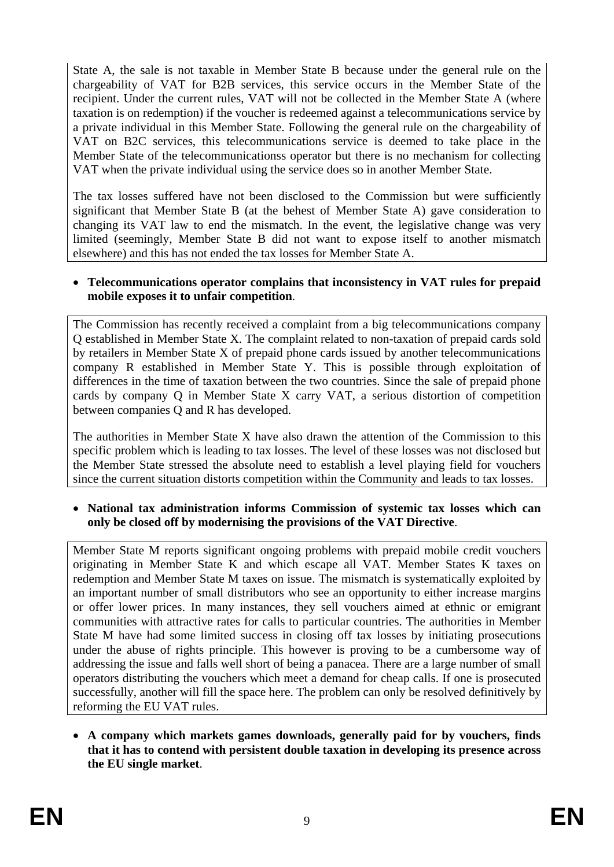State A, the sale is not taxable in Member State B because under the general rule on the chargeability of VAT for B2B services, this service occurs in the Member State of the recipient. Under the current rules, VAT will not be collected in the Member State A (where taxation is on redemption) if the voucher is redeemed against a telecommunications service by a private individual in this Member State. Following the general rule on the chargeability of VAT on B2C services, this telecommunications service is deemed to take place in the Member State of the telecommunicationss operator but there is no mechanism for collecting VAT when the private individual using the service does so in another Member State.

The tax losses suffered have not been disclosed to the Commission but were sufficiently significant that Member State B (at the behest of Member State A) gave consideration to changing its VAT law to end the mismatch. In the event, the legislative change was very limited (seemingly, Member State B did not want to expose itself to another mismatch elsewhere) and this has not ended the tax losses for Member State A.

#### • **Telecommunications operator complains that inconsistency in VAT rules for prepaid mobile exposes it to unfair competition**.

The Commission has recently received a complaint from a big telecommunications company Q established in Member State X. The complaint related to non-taxation of prepaid cards sold by retailers in Member State X of prepaid phone cards issued by another telecommunications company R established in Member State Y. This is possible through exploitation of differences in the time of taxation between the two countries. Since the sale of prepaid phone cards by company Q in Member State X carry VAT, a serious distortion of competition between companies Q and R has developed.

The authorities in Member State X have also drawn the attention of the Commission to this specific problem which is leading to tax losses. The level of these losses was not disclosed but the Member State stressed the absolute need to establish a level playing field for vouchers since the current situation distorts competition within the Community and leads to tax losses.

• **National tax administration informs Commission of systemic tax losses which can only be closed off by modernising the provisions of the VAT Directive**.

Member State M reports significant ongoing problems with prepaid mobile credit vouchers originating in Member State K and which escape all VAT. Member States K taxes on redemption and Member State M taxes on issue. The mismatch is systematically exploited by an important number of small distributors who see an opportunity to either increase margins or offer lower prices. In many instances, they sell vouchers aimed at ethnic or emigrant communities with attractive rates for calls to particular countries. The authorities in Member State M have had some limited success in closing off tax losses by initiating prosecutions under the abuse of rights principle. This however is proving to be a cumbersome way of addressing the issue and falls well short of being a panacea. There are a large number of small operators distributing the vouchers which meet a demand for cheap calls. If one is prosecuted successfully, another will fill the space here. The problem can only be resolved definitively by reforming the EU VAT rules.

• **A company which markets games downloads, generally paid for by vouchers, finds that it has to contend with persistent double taxation in developing its presence across the EU single market**.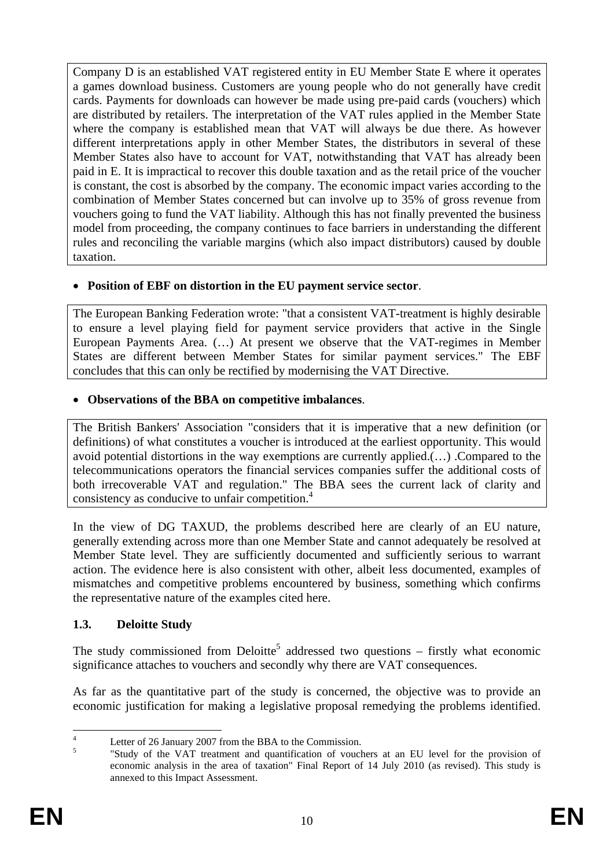Company D is an established VAT registered entity in EU Member State E where it operates a games download business. Customers are young people who do not generally have credit cards. Payments for downloads can however be made using pre-paid cards (vouchers) which are distributed by retailers. The interpretation of the VAT rules applied in the Member State where the company is established mean that VAT will always be due there. As however different interpretations apply in other Member States, the distributors in several of these Member States also have to account for VAT, notwithstanding that VAT has already been paid in E. It is impractical to recover this double taxation and as the retail price of the voucher is constant, the cost is absorbed by the company. The economic impact varies according to the combination of Member States concerned but can involve up to 35% of gross revenue from vouchers going to fund the VAT liability. Although this has not finally prevented the business model from proceeding, the company continues to face barriers in understanding the different rules and reconciling the variable margins (which also impact distributors) caused by double taxation.

### • **Position of EBF on distortion in the EU payment service sector**.

The European Banking Federation wrote: "that a consistent VAT-treatment is highly desirable to ensure a level playing field for payment service providers that active in the Single European Payments Area. (…) At present we observe that the VAT-regimes in Member States are different between Member States for similar payment services." The EBF concludes that this can only be rectified by modernising the VAT Directive.

### • **Observations of the BBA on competitive imbalances**.

The British Bankers' Association "considers that it is imperative that a new definition (or definitions) of what constitutes a voucher is introduced at the earliest opportunity. This would avoid potential distortions in the way exemptions are currently applied.(…) .Compared to the telecommunications operators the financial services companies suffer the additional costs of both irrecoverable VAT and regulation." The BBA sees the current lack of clarity and consistency as conducive to unfair competition.4

In the view of DG TAXUD, the problems described here are clearly of an EU nature, generally extending across more than one Member State and cannot adequately be resolved at Member State level. They are sufficiently documented and sufficiently serious to warrant action. The evidence here is also consistent with other, albeit less documented, examples of mismatches and competitive problems encountered by business, something which confirms the representative nature of the examples cited here.

# <span id="page-9-0"></span>**1.3. Deloitte Study**

The study commissioned from Deloitte<sup>5</sup> addressed two questions – firstly what economic significance attaches to vouchers and secondly why there are VAT consequences.

As far as the quantitative part of the study is concerned, the objective was to provide an economic justification for making a legislative proposal remedying the problems identified.

 $\frac{1}{4}$  Letter of 26 January 2007 from the BBA to the Commission. 5

 <sup>&</sup>quot;Study of the VAT treatment and quantification of vouchers at an EU level for the provision of economic analysis in the area of taxation" Final Report of 14 July 2010 (as revised). This study is annexed to this Impact Assessment.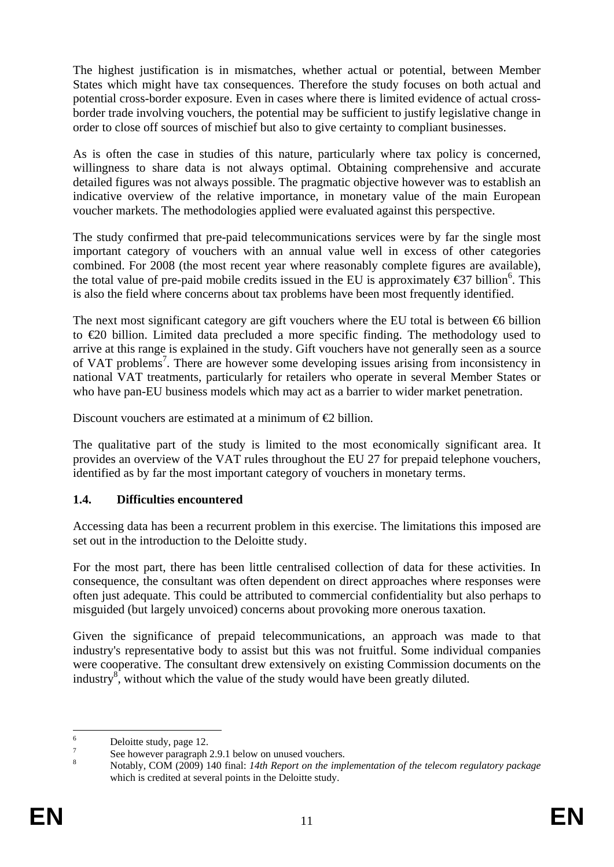The highest justification is in mismatches, whether actual or potential, between Member States which might have tax consequences. Therefore the study focuses on both actual and potential cross-border exposure. Even in cases where there is limited evidence of actual crossborder trade involving vouchers, the potential may be sufficient to justify legislative change in order to close off sources of mischief but also to give certainty to compliant businesses.

As is often the case in studies of this nature, particularly where tax policy is concerned, willingness to share data is not always optimal. Obtaining comprehensive and accurate detailed figures was not always possible. The pragmatic objective however was to establish an indicative overview of the relative importance, in monetary value of the main European voucher markets. The methodologies applied were evaluated against this perspective.

The study confirmed that pre-paid telecommunications services were by far the single most important category of vouchers with an annual value well in excess of other categories combined. For 2008 (the most recent year where reasonably complete figures are available), the total value of pre-paid mobile credits issued in the EU is approximately  $\epsilon$ 37 billion<sup>6</sup>. This is also the field where concerns about tax problems have been most frequently identified.

The next most significant category are gift vouchers where the EU total is between  $\epsilon$ 6 billion to €20 billion. Limited data precluded a more specific finding. The methodology used to arrive at this range is explained in the study. Gift vouchers have not generally seen as a source of VAT problems<sup>7</sup>. There are however some developing issues arising from inconsistency in national VAT treatments, particularly for retailers who operate in several Member States or who have pan-EU business models which may act as a barrier to wider market penetration.

Discount vouchers are estimated at a minimum of  $\bigoplus$  billion.

The qualitative part of the study is limited to the most economically significant area. It provides an overview of the VAT rules throughout the EU 27 for prepaid telephone vouchers, identified as by far the most important category of vouchers in monetary terms.

### <span id="page-10-0"></span>**1.4. Difficulties encountered**

Accessing data has been a recurrent problem in this exercise. The limitations this imposed are set out in the introduction to the Deloitte study.

For the most part, there has been little centralised collection of data for these activities. In consequence, the consultant was often dependent on direct approaches where responses were often just adequate. This could be attributed to commercial confidentiality but also perhaps to misguided (but largely unvoiced) concerns about provoking more onerous taxation.

Given the significance of prepaid telecommunications, an approach was made to that industry's representative body to assist but this was not fruitful. Some individual companies were cooperative. The consultant drew extensively on existing Commission documents on the industry $\overline{s}$ , without which the value of the study would have been greatly diluted.

 $\frac{1}{6}$ Deloitte study, page 12.

<sup>7</sup> See however paragraph 2.9.1 below on unused vouchers.

<sup>8</sup> Notably, COM (2009) 140 final: *14th Report on the implementation of the telecom regulatory package*  which is credited at several points in the Deloitte study.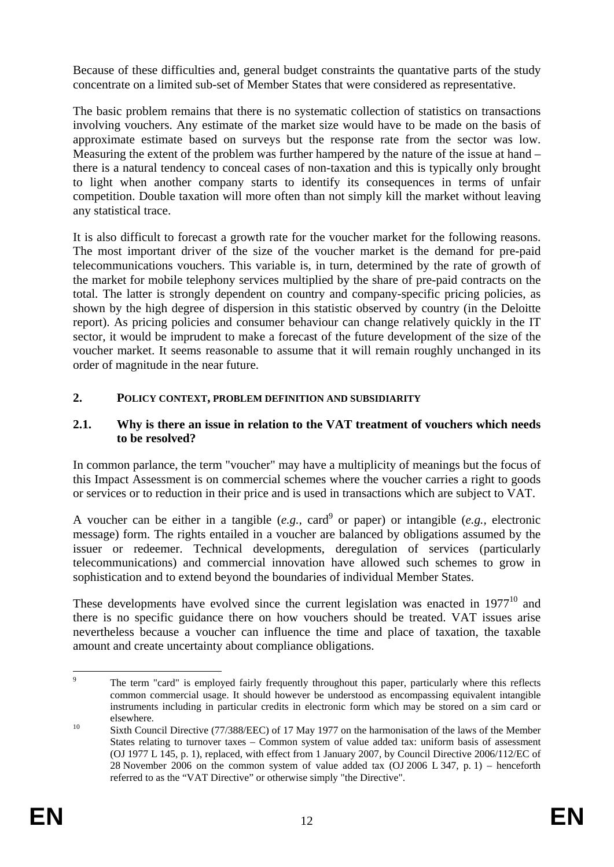Because of these difficulties and, general budget constraints the quantative parts of the study concentrate on a limited sub-set of Member States that were considered as representative.

The basic problem remains that there is no systematic collection of statistics on transactions involving vouchers. Any estimate of the market size would have to be made on the basis of approximate estimate based on surveys but the response rate from the sector was low. Measuring the extent of the problem was further hampered by the nature of the issue at hand – there is a natural tendency to conceal cases of non-taxation and this is typically only brought to light when another company starts to identify its consequences in terms of unfair competition. Double taxation will more often than not simply kill the market without leaving any statistical trace.

It is also difficult to forecast a growth rate for the voucher market for the following reasons. The most important driver of the size of the voucher market is the demand for pre-paid telecommunications vouchers. This variable is, in turn, determined by the rate of growth of the market for mobile telephony services multiplied by the share of pre-paid contracts on the total. The latter is strongly dependent on country and company-specific pricing policies, as shown by the high degree of dispersion in this statistic observed by country (in the Deloitte report). As pricing policies and consumer behaviour can change relatively quickly in the IT sector, it would be imprudent to make a forecast of the future development of the size of the voucher market. It seems reasonable to assume that it will remain roughly unchanged in its order of magnitude in the near future.

### <span id="page-11-0"></span>**2. POLICY CONTEXT, PROBLEM DEFINITION AND SUBSIDIARITY**

#### <span id="page-11-1"></span>**2.1. Why is there an issue in relation to the VAT treatment of vouchers which needs to be resolved?**

In common parlance, the term "voucher" may have a multiplicity of meanings but the focus of this Impact Assessment is on commercial schemes where the voucher carries a right to goods or services or to reduction in their price and is used in transactions which are subject to VAT.

A voucher can be either in a tangible  $(e.g., \text{ card}^9 \text{ or } \text{paper})$  or intangible  $(e.g., \text{ electronic})$ message) form. The rights entailed in a voucher are balanced by obligations assumed by the issuer or redeemer. Technical developments, deregulation of services (particularly telecommunications) and commercial innovation have allowed such schemes to grow in sophistication and to extend beyond the boundaries of individual Member States.

These developments have evolved since the current legislation was enacted in  $1977^{10}$  and there is no specific guidance there on how vouchers should be treated. VAT issues arise nevertheless because a voucher can influence the time and place of taxation, the taxable amount and create uncertainty about compliance obligations.

<sup>-&</sup>lt;br>9 The term "card" is employed fairly frequently throughout this paper, particularly where this reflects common commercial usage. It should however be understood as encompassing equivalent intangible instruments including in particular credits in electronic form which may be stored on a sim card or elsewhere.<br>
10 Sixth Council Directive (77/388/EEC) of 17 May 1977 on the harmonisation of the laws of the Member

States relating to turnover taxes – Common system of value added tax: uniform basis of assessment (OJ 1977 L 145, p. 1), replaced, with effect from 1 January 2007, by Council Directive 2006/112/EC of 28 November 2006 on the common system of value added tax (OJ 2006 L 347, p. 1) – henceforth referred to as the "VAT Directive" or otherwise simply "the Directive".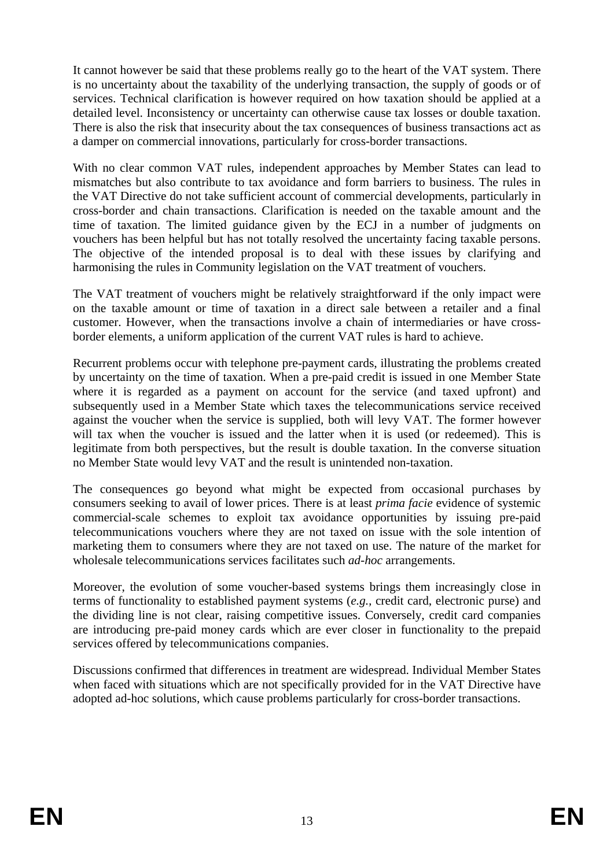It cannot however be said that these problems really go to the heart of the VAT system. There is no uncertainty about the taxability of the underlying transaction, the supply of goods or of services. Technical clarification is however required on how taxation should be applied at a detailed level. Inconsistency or uncertainty can otherwise cause tax losses or double taxation. There is also the risk that insecurity about the tax consequences of business transactions act as a damper on commercial innovations, particularly for cross-border transactions.

With no clear common VAT rules, independent approaches by Member States can lead to mismatches but also contribute to tax avoidance and form barriers to business. The rules in the VAT Directive do not take sufficient account of commercial developments, particularly in cross-border and chain transactions. Clarification is needed on the taxable amount and the time of taxation. The limited guidance given by the ECJ in a number of judgments on vouchers has been helpful but has not totally resolved the uncertainty facing taxable persons. The objective of the intended proposal is to deal with these issues by clarifying and harmonising the rules in Community legislation on the VAT treatment of vouchers.

The VAT treatment of vouchers might be relatively straightforward if the only impact were on the taxable amount or time of taxation in a direct sale between a retailer and a final customer. However, when the transactions involve a chain of intermediaries or have crossborder elements, a uniform application of the current VAT rules is hard to achieve.

Recurrent problems occur with telephone pre-payment cards, illustrating the problems created by uncertainty on the time of taxation. When a pre-paid credit is issued in one Member State where it is regarded as a payment on account for the service (and taxed upfront) and subsequently used in a Member State which taxes the telecommunications service received against the voucher when the service is supplied, both will levy VAT. The former however will tax when the voucher is issued and the latter when it is used (or redeemed). This is legitimate from both perspectives, but the result is double taxation. In the converse situation no Member State would levy VAT and the result is unintended non-taxation.

The consequences go beyond what might be expected from occasional purchases by consumers seeking to avail of lower prices. There is at least *prima facie* evidence of systemic commercial-scale schemes to exploit tax avoidance opportunities by issuing pre-paid telecommunications vouchers where they are not taxed on issue with the sole intention of marketing them to consumers where they are not taxed on use. The nature of the market for wholesale telecommunications services facilitates such *ad-hoc* arrangements.

Moreover, the evolution of some voucher-based systems brings them increasingly close in terms of functionality to established payment systems (*e.g.,* credit card, electronic purse) and the dividing line is not clear, raising competitive issues. Conversely, credit card companies are introducing pre-paid money cards which are ever closer in functionality to the prepaid services offered by telecommunications companies.

Discussions confirmed that differences in treatment are widespread. Individual Member States when faced with situations which are not specifically provided for in the VAT Directive have adopted ad-hoc solutions, which cause problems particularly for cross-border transactions.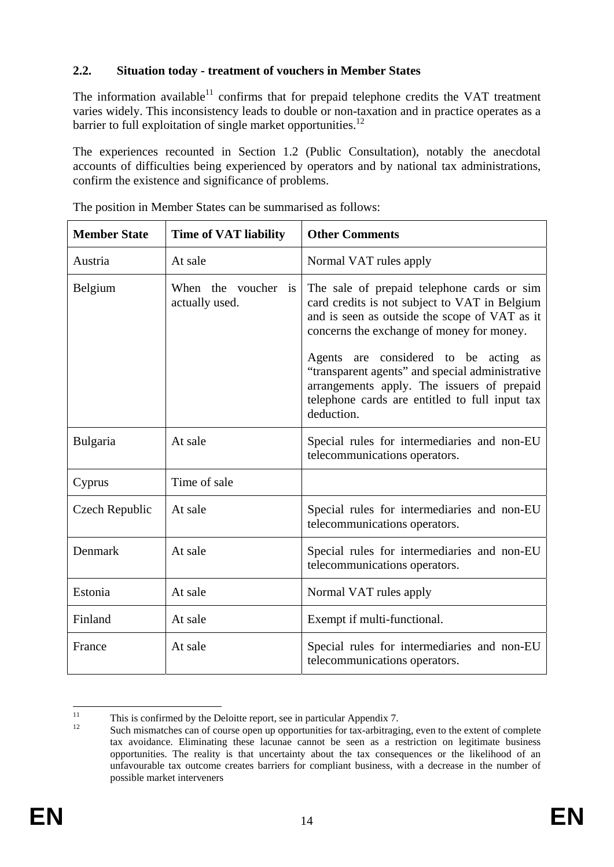### <span id="page-13-0"></span>**2.2. Situation today - treatment of vouchers in Member States**

The information available $11$  confirms that for prepaid telephone credits the VAT treatment varies widely. This inconsistency leads to double or non-taxation and in practice operates as a barrier to full exploitation of single market opportunities.<sup>12</sup>

The experiences recounted in Section 1.2 (Public Consultation), notably the anecdotal accounts of difficulties being experienced by operators and by national tax administrations, confirm the existence and significance of problems.

| <b>Member State</b><br><b>Time of VAT liability</b> |                                       | <b>Other Comments</b>                                                                                                                                                                                                                                                                                                                                                                               |  |  |
|-----------------------------------------------------|---------------------------------------|-----------------------------------------------------------------------------------------------------------------------------------------------------------------------------------------------------------------------------------------------------------------------------------------------------------------------------------------------------------------------------------------------------|--|--|
| At sale<br>Austria                                  |                                       | Normal VAT rules apply                                                                                                                                                                                                                                                                                                                                                                              |  |  |
| Belgium                                             | When the voucher is<br>actually used. | The sale of prepaid telephone cards or sim<br>card credits is not subject to VAT in Belgium<br>and is seen as outside the scope of VAT as it<br>concerns the exchange of money for money.<br>Agents are considered to be acting as<br>"transparent agents" and special administrative<br>arrangements apply. The issuers of prepaid<br>telephone cards are entitled to full input tax<br>deduction. |  |  |
| Bulgaria                                            | At sale                               | Special rules for intermediaries and non-EU<br>telecommunications operators.                                                                                                                                                                                                                                                                                                                        |  |  |
| Cyprus                                              | Time of sale                          |                                                                                                                                                                                                                                                                                                                                                                                                     |  |  |
| Czech Republic                                      | At sale                               | Special rules for intermediaries and non-EU<br>telecommunications operators.                                                                                                                                                                                                                                                                                                                        |  |  |
| Denmark                                             | At sale                               | Special rules for intermediaries and non-EU<br>telecommunications operators.                                                                                                                                                                                                                                                                                                                        |  |  |
| Estonia                                             | At sale                               | Normal VAT rules apply                                                                                                                                                                                                                                                                                                                                                                              |  |  |
| Finland                                             | At sale                               | Exempt if multi-functional.                                                                                                                                                                                                                                                                                                                                                                         |  |  |
| France                                              | At sale                               | Special rules for intermediaries and non-EU<br>telecommunications operators.                                                                                                                                                                                                                                                                                                                        |  |  |

The position in Member States can be summarised as follows:

 $11$ <sup>11</sup> This is confirmed by the Deloitte report, see in particular Appendix 7.<br><sup>12</sup> Section is particular and the proof of the particular and the set of the particular set of the particular set of the particular set of the

Such mismatches can of course open up opportunities for tax-arbitraging, even to the extent of complete tax avoidance. Eliminating these lacunae cannot be seen as a restriction on legitimate business opportunities. The reality is that uncertainty about the tax consequences or the likelihood of an unfavourable tax outcome creates barriers for compliant business, with a decrease in the number of possible market interveners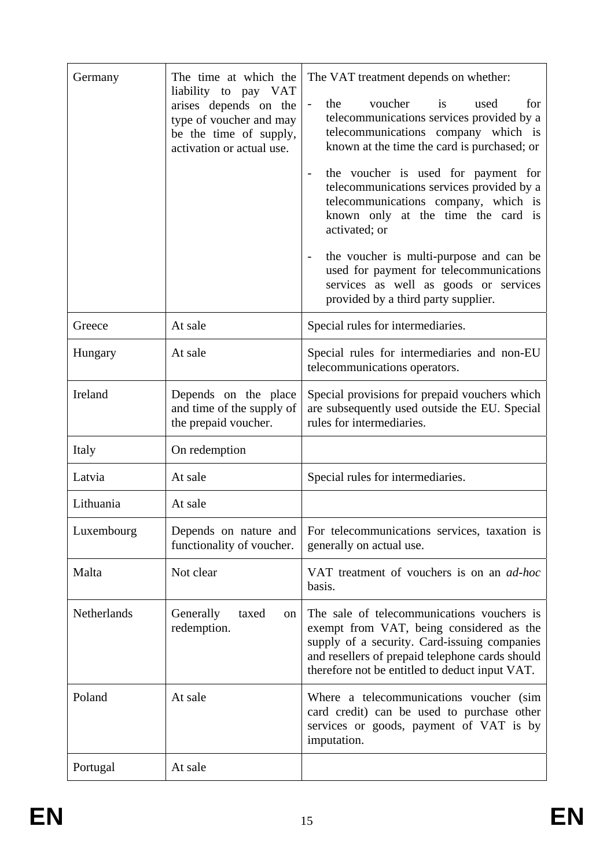| Germany     | The time at which the<br>liability to pay VAT<br>arises depends on the<br>type of voucher and may<br>be the time of supply,<br>activation or actual use. | The VAT treatment depends on whether:<br>the<br>voucher is<br>for<br>used<br>$\blacksquare$<br>telecommunications services provided by a<br>telecommunications company which is<br>known at the time the card is purchased; or<br>the voucher is used for payment for<br>$\overline{\phantom{a}}$<br>telecommunications services provided by a<br>telecommunications company, which is<br>known only at the time the card is<br>activated; or<br>the voucher is multi-purpose and can be<br>$\qquad \qquad -$<br>used for payment for telecommunications |  |
|-------------|----------------------------------------------------------------------------------------------------------------------------------------------------------|----------------------------------------------------------------------------------------------------------------------------------------------------------------------------------------------------------------------------------------------------------------------------------------------------------------------------------------------------------------------------------------------------------------------------------------------------------------------------------------------------------------------------------------------------------|--|
|             |                                                                                                                                                          | services as well as goods or services<br>provided by a third party supplier.                                                                                                                                                                                                                                                                                                                                                                                                                                                                             |  |
| Greece      | At sale                                                                                                                                                  | Special rules for intermediaries.                                                                                                                                                                                                                                                                                                                                                                                                                                                                                                                        |  |
| Hungary     | At sale                                                                                                                                                  | Special rules for intermediaries and non-EU<br>telecommunications operators.                                                                                                                                                                                                                                                                                                                                                                                                                                                                             |  |
| Ireland     | Depends on the place<br>and time of the supply of<br>the prepaid voucher.                                                                                | Special provisions for prepaid vouchers which<br>are subsequently used outside the EU. Special<br>rules for intermediaries.                                                                                                                                                                                                                                                                                                                                                                                                                              |  |
| Italy       | On redemption                                                                                                                                            |                                                                                                                                                                                                                                                                                                                                                                                                                                                                                                                                                          |  |
| Latvia      | At sale                                                                                                                                                  | Special rules for intermediaries.                                                                                                                                                                                                                                                                                                                                                                                                                                                                                                                        |  |
| Lithuania   | At sale                                                                                                                                                  |                                                                                                                                                                                                                                                                                                                                                                                                                                                                                                                                                          |  |
| Luxembourg  | Depends on nature and<br>functionality of voucher.                                                                                                       | For telecommunications services, taxation is<br>generally on actual use.                                                                                                                                                                                                                                                                                                                                                                                                                                                                                 |  |
| Malta       | Not clear                                                                                                                                                | VAT treatment of vouchers is on an ad-hoc<br>basis.                                                                                                                                                                                                                                                                                                                                                                                                                                                                                                      |  |
| Netherlands | Generally<br>taxed<br>on<br>redemption.                                                                                                                  | The sale of telecommunications vouchers is<br>exempt from VAT, being considered as the<br>supply of a security. Card-issuing companies<br>and resellers of prepaid telephone cards should<br>therefore not be entitled to deduct input VAT.                                                                                                                                                                                                                                                                                                              |  |
| Poland      | At sale                                                                                                                                                  | Where a telecommunications voucher (sim<br>card credit) can be used to purchase other<br>services or goods, payment of VAT is by<br>imputation.                                                                                                                                                                                                                                                                                                                                                                                                          |  |
| Portugal    | At sale                                                                                                                                                  |                                                                                                                                                                                                                                                                                                                                                                                                                                                                                                                                                          |  |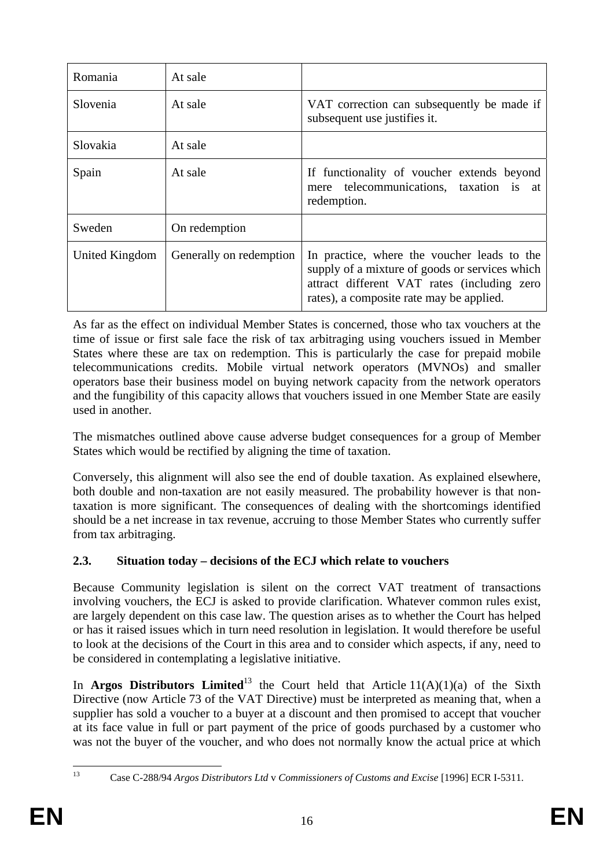| Romania        | At sale                 |                                                                                                                                                                                          |
|----------------|-------------------------|------------------------------------------------------------------------------------------------------------------------------------------------------------------------------------------|
| Slovenia       | At sale                 | VAT correction can subsequently be made if<br>subsequent use justifies it.                                                                                                               |
| Slovakia       | At sale                 |                                                                                                                                                                                          |
| Spain          | At sale                 | If functionality of voucher extends beyond<br>mere telecommunications, taxation is<br>at<br>redemption.                                                                                  |
| Sweden         | On redemption           |                                                                                                                                                                                          |
| United Kingdom | Generally on redemption | In practice, where the voucher leads to the<br>supply of a mixture of goods or services which<br>attract different VAT rates (including zero<br>rates), a composite rate may be applied. |

As far as the effect on individual Member States is concerned, those who tax vouchers at the time of issue or first sale face the risk of tax arbitraging using vouchers issued in Member States where these are tax on redemption. This is particularly the case for prepaid mobile telecommunications credits. Mobile virtual network operators (MVNOs) and smaller operators base their business model on buying network capacity from the network operators and the fungibility of this capacity allows that vouchers issued in one Member State are easily used in another.

The mismatches outlined above cause adverse budget consequences for a group of Member States which would be rectified by aligning the time of taxation.

Conversely, this alignment will also see the end of double taxation. As explained elsewhere, both double and non-taxation are not easily measured. The probability however is that nontaxation is more significant. The consequences of dealing with the shortcomings identified should be a net increase in tax revenue, accruing to those Member States who currently suffer from tax arbitraging.

# <span id="page-15-0"></span>**2.3. Situation today – decisions of the ECJ which relate to vouchers**

Because Community legislation is silent on the correct VAT treatment of transactions involving vouchers, the ECJ is asked to provide clarification. Whatever common rules exist, are largely dependent on this case law. The question arises as to whether the Court has helped or has it raised issues which in turn need resolution in legislation. It would therefore be useful to look at the decisions of the Court in this area and to consider which aspects, if any, need to be considered in contemplating a legislative initiative.

In **Argos Distributors Limited**<sup>13</sup> the Court held that Article  $11(A)(1)(a)$  of the Sixth Directive (now Article 73 of the VAT Directive) must be interpreted as meaning that, when a supplier has sold a voucher to a buyer at a discount and then promised to accept that voucher at its face value in full or part payment of the price of goods purchased by a customer who was not the buyer of the voucher, and who does not normally know the actual price at which

 $13$ 

<sup>13</sup> Case C-288/94 *Argos Distributors Ltd* v *Commissioners of Customs and Excise* [1996] ECR I-5311.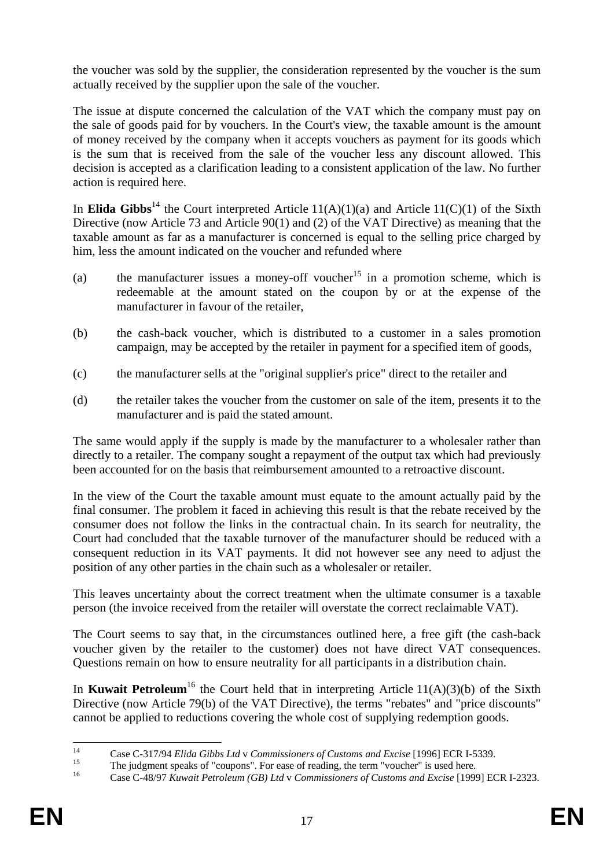the voucher was sold by the supplier, the consideration represented by the voucher is the sum actually received by the supplier upon the sale of the voucher.

The issue at dispute concerned the calculation of the VAT which the company must pay on the sale of goods paid for by vouchers. In the Court's view, the taxable amount is the amount of money received by the company when it accepts vouchers as payment for its goods which is the sum that is received from the sale of the voucher less any discount allowed. This decision is accepted as a clarification leading to a consistent application of the law. No further action is required here.

In **Elida Gibbs**<sup>14</sup> the Court interpreted Article  $11(A)(1)(a)$  and Article  $11(C)(1)$  of the Sixth Directive (now Article 73 and Article 90(1) and (2) of the VAT Directive) as meaning that the taxable amount as far as a manufacturer is concerned is equal to the selling price charged by him, less the amount indicated on the voucher and refunded where

- (a) the manufacturer issues a money-off voucher<sup>15</sup> in a promotion scheme, which is redeemable at the amount stated on the coupon by or at the expense of the manufacturer in favour of the retailer,
- (b) the cash-back voucher, which is distributed to a customer in a sales promotion campaign, may be accepted by the retailer in payment for a specified item of goods,
- (c) the manufacturer sells at the "original supplier's price" direct to the retailer and
- (d) the retailer takes the voucher from the customer on sale of the item, presents it to the manufacturer and is paid the stated amount.

The same would apply if the supply is made by the manufacturer to a wholesaler rather than directly to a retailer. The company sought a repayment of the output tax which had previously been accounted for on the basis that reimbursement amounted to a retroactive discount.

In the view of the Court the taxable amount must equate to the amount actually paid by the final consumer. The problem it faced in achieving this result is that the rebate received by the consumer does not follow the links in the contractual chain. In its search for neutrality, the Court had concluded that the taxable turnover of the manufacturer should be reduced with a consequent reduction in its VAT payments. It did not however see any need to adjust the position of any other parties in the chain such as a wholesaler or retailer.

This leaves uncertainty about the correct treatment when the ultimate consumer is a taxable person (the invoice received from the retailer will overstate the correct reclaimable VAT).

The Court seems to say that, in the circumstances outlined here, a free gift (the cash-back voucher given by the retailer to the customer) does not have direct VAT consequences. Questions remain on how to ensure neutrality for all participants in a distribution chain.

In **Kuwait Petroleum**<sup>16</sup> the Court held that in interpreting Article  $11(A)(3)(b)$  of the Sixth Directive (now Article 79(b) of the VAT Directive), the terms "rebates" and "price discounts" cannot be applied to reductions covering the whole cost of supplying redemption goods.

 $14$ <sup>14</sup><br>
Case C-317/94 *Elida Gibbs Ltd* v *Commissioners of Customs and Excise* [1996] ECR I-5339.<br>
The judgment speaks of "coupons". For ease of reading, the term "voucher" is used here.<br>
Case C 48/07 *Eurasia Dataslawn (CB* 

<sup>16</sup> Case C-48/97 *Kuwait Petroleum (GB) Ltd* v *Commissioners of Customs and Excise* [1999] ECR I-2323.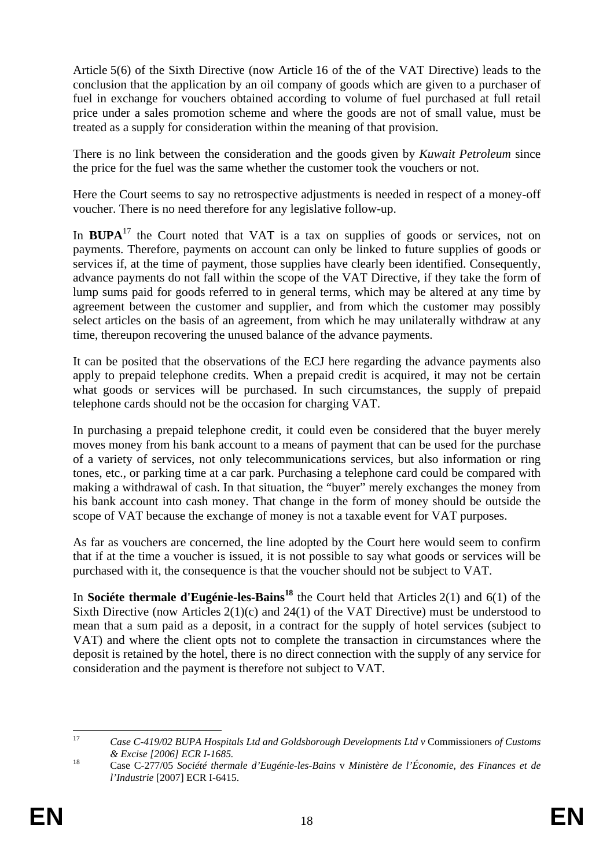Article 5(6) of the Sixth Directive (now Article 16 of the of the VAT Directive) leads to the conclusion that the application by an oil company of goods which are given to a purchaser of fuel in exchange for vouchers obtained according to volume of fuel purchased at full retail price under a sales promotion scheme and where the goods are not of small value, must be treated as a supply for consideration within the meaning of that provision.

There is no link between the consideration and the goods given by *Kuwait Petroleum* since the price for the fuel was the same whether the customer took the vouchers or not.

Here the Court seems to say no retrospective adjustments is needed in respect of a money-off voucher. There is no need therefore for any legislative follow-up.

In  $BUPA<sup>17</sup>$  the Court noted that VAT is a tax on supplies of goods or services, not on payments. Therefore, payments on account can only be linked to future supplies of goods or services if, at the time of payment, those supplies have clearly been identified. Consequently, advance payments do not fall within the scope of the VAT Directive, if they take the form of lump sums paid for goods referred to in general terms, which may be altered at any time by agreement between the customer and supplier, and from which the customer may possibly select articles on the basis of an agreement, from which he may unilaterally withdraw at any time, thereupon recovering the unused balance of the advance payments.

It can be posited that the observations of the ECJ here regarding the advance payments also apply to prepaid telephone credits. When a prepaid credit is acquired, it may not be certain what goods or services will be purchased. In such circumstances, the supply of prepaid telephone cards should not be the occasion for charging VAT.

In purchasing a prepaid telephone credit, it could even be considered that the buyer merely moves money from his bank account to a means of payment that can be used for the purchase of a variety of services, not only telecommunications services, but also information or ring tones, etc., or parking time at a car park. Purchasing a telephone card could be compared with making a withdrawal of cash. In that situation, the "buyer" merely exchanges the money from his bank account into cash money. That change in the form of money should be outside the scope of VAT because the exchange of money is not a taxable event for VAT purposes.

As far as vouchers are concerned, the line adopted by the Court here would seem to confirm that if at the time a voucher is issued, it is not possible to say what goods or services will be purchased with it, the consequence is that the voucher should not be subject to VAT.

In **Sociéte thermale d'Eugénie-les-Bains<sup>18</sup>** the Court held that Articles 2(1) and 6(1) of the Sixth Directive (now Articles 2(1)(c) and 24(1) of the VAT Directive) must be understood to mean that a sum paid as a deposit, in a contract for the supply of hotel services (subject to VAT) and where the client opts not to complete the transaction in circumstances where the deposit is retained by the hotel, there is no direct connection with the supply of any service for consideration and the payment is therefore not subject to VAT.

 $17$ <sup>17</sup> *Case C-419/02 BUPA Hospitals Ltd and Goldsborough Developments Ltd v* Commissioners *of Customs & Excise [2006] ECR I-1685.* 18 Case C-277/05 *Société thermale d'Eugénie-les-Bains* v *Ministère de l'Économie, des Finances et de* 

*l'Industrie* [2007] ECR I-6415.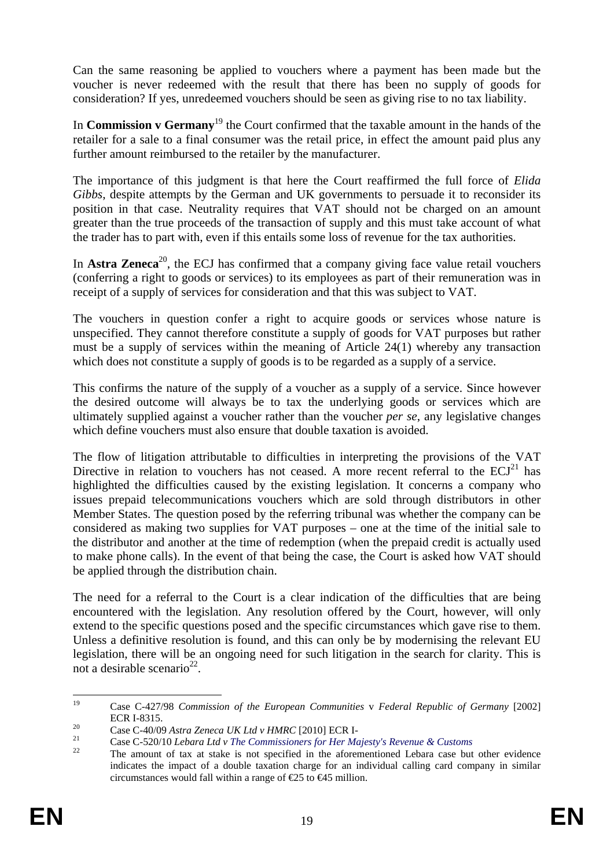Can the same reasoning be applied to vouchers where a payment has been made but the voucher is never redeemed with the result that there has been no supply of goods for consideration? If yes, unredeemed vouchers should be seen as giving rise to no tax liability.

In **Commission v Germany**<sup>19</sup> the Court confirmed that the taxable amount in the hands of the retailer for a sale to a final consumer was the retail price, in effect the amount paid plus any further amount reimbursed to the retailer by the manufacturer.

The importance of this judgment is that here the Court reaffirmed the full force of *Elida Gibbs*, despite attempts by the German and UK governments to persuade it to reconsider its position in that case. Neutrality requires that VAT should not be charged on an amount greater than the true proceeds of the transaction of supply and this must take account of what the trader has to part with, even if this entails some loss of revenue for the tax authorities.

In **Astra Zeneca**<sup>20</sup>, the ECJ has confirmed that a company giving face value retail vouchers (conferring a right to goods or services) to its employees as part of their remuneration was in receipt of a supply of services for consideration and that this was subject to VAT.

The vouchers in question confer a right to acquire goods or services whose nature is unspecified. They cannot therefore constitute a supply of goods for VAT purposes but rather must be a supply of services within the meaning of Article 24(1) whereby any transaction which does not constitute a supply of goods is to be regarded as a supply of a service.

This confirms the nature of the supply of a voucher as a supply of a service. Since however the desired outcome will always be to tax the underlying goods or services which are ultimately supplied against a voucher rather than the voucher *per se*, any legislative changes which define vouchers must also ensure that double taxation is avoided.

The flow of litigation attributable to difficulties in interpreting the provisions of the VAT Directive in relation to vouchers has not ceased. A more recent referral to the  $ECJ<sup>21</sup>$  has highlighted the difficulties caused by the existing legislation. It concerns a company who issues prepaid telecommunications vouchers which are sold through distributors in other Member States. The question posed by the referring tribunal was whether the company can be considered as making two supplies for VAT purposes – one at the time of the initial sale to the distributor and another at the time of redemption (when the prepaid credit is actually used to make phone calls). In the event of that being the case, the Court is asked how VAT should be applied through the distribution chain.

The need for a referral to the Court is a clear indication of the difficulties that are being encountered with the legislation. Any resolution offered by the Court, however, will only extend to the specific questions posed and the specific circumstances which gave rise to them. Unless a definitive resolution is found, and this can only be by modernising the relevant EU legislation, there will be an ongoing need for such litigation in the search for clarity. This is not a desirable scenario<sup>22</sup>.

<sup>19</sup> 19 Case C-427/98 *Commission of the European Communities* v *Federal Republic of Germany* [2002] ECR I-8315.<br>
Case C-40/09 Astra Zeneca UK Ltd v HMRC [2010] ECR I-<br>
Case C-520/10 Lebara Ltd v The Commissioners for Her Majesty's Revenue & Customs<br>
The amount of tax at stake is not specified in the aforementioned Lebar

indicates the impact of a double taxation charge for an individual calling card company in similar circumstances would fall within a range of  $E$ 5 to  $E$ 45 million.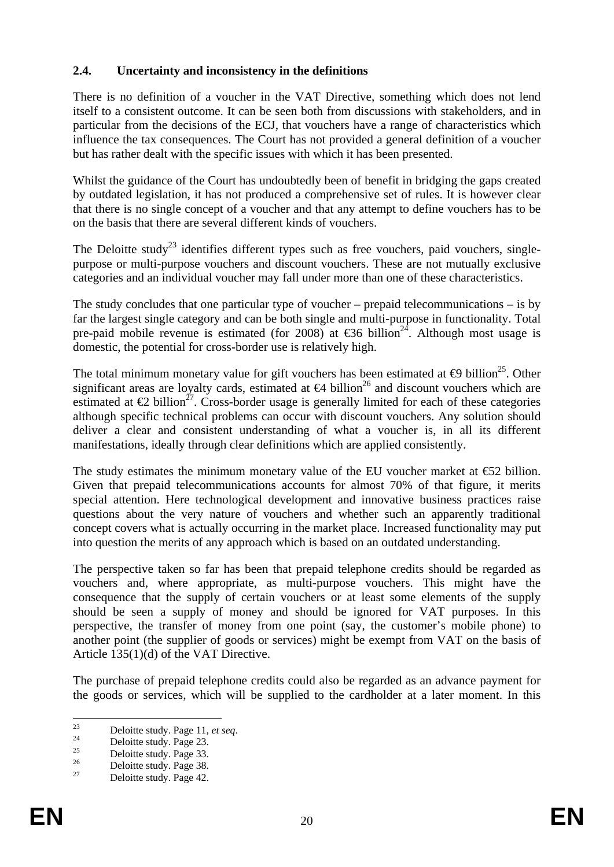### <span id="page-19-0"></span>**2.4. Uncertainty and inconsistency in the definitions**

There is no definition of a voucher in the VAT Directive, something which does not lend itself to a consistent outcome. It can be seen both from discussions with stakeholders, and in particular from the decisions of the ECJ, that vouchers have a range of characteristics which influence the tax consequences. The Court has not provided a general definition of a voucher but has rather dealt with the specific issues with which it has been presented.

Whilst the guidance of the Court has undoubtedly been of benefit in bridging the gaps created by outdated legislation, it has not produced a comprehensive set of rules. It is however clear that there is no single concept of a voucher and that any attempt to define vouchers has to be on the basis that there are several different kinds of vouchers.

The Deloitte study<sup>23</sup> identifies different types such as free vouchers, paid vouchers, singlepurpose or multi-purpose vouchers and discount vouchers. These are not mutually exclusive categories and an individual voucher may fall under more than one of these characteristics.

The study concludes that one particular type of voucher – prepaid telecommunications – is by far the largest single category and can be both single and multi-purpose in functionality. Total pre-paid mobile revenue is estimated (for 2008) at  $\epsilon$ 36 billion<sup>24</sup>. Although most usage is domestic, the potential for cross-border use is relatively high.

The total minimum monetary value for gift vouchers has been estimated at  $\Theta$  billion<sup>25</sup>. Other significant areas are loyalty cards, estimated at  $\Theta$  billion<sup>26</sup> and discount vouchers which are estimated at  $\epsilon_2$  billion<sup>27</sup>. Cross-border usage is generally limited for each of these categories although specific technical problems can occur with discount vouchers. Any solution should deliver a clear and consistent understanding of what a voucher is, in all its different manifestations, ideally through clear definitions which are applied consistently.

The study estimates the minimum monetary value of the EU voucher market at  $\epsilon$ 52 billion. Given that prepaid telecommunications accounts for almost 70% of that figure, it merits special attention. Here technological development and innovative business practices raise questions about the very nature of vouchers and whether such an apparently traditional concept covers what is actually occurring in the market place. Increased functionality may put into question the merits of any approach which is based on an outdated understanding.

The perspective taken so far has been that prepaid telephone credits should be regarded as vouchers and, where appropriate, as multi-purpose vouchers. This might have the consequence that the supply of certain vouchers or at least some elements of the supply should be seen a supply of money and should be ignored for VAT purposes. In this perspective, the transfer of money from one point (say, the customer's mobile phone) to another point (the supplier of goods or services) might be exempt from VAT on the basis of Article 135(1)(d) of the VAT Directive.

The purchase of prepaid telephone credits could also be regarded as an advance payment for the goods or services, which will be supplied to the cardholder at a later moment. In this

 $23$ <sup>23</sup> Deloitte study. Page 11, *et seq.*<br>
Deloitte study. Page 23.

 $25$  Deloitte study. Page 33.

 $^{26}$  Deloitte study. Page 38.<br>Peloitte study. Page 42.

Deloitte study. Page 42.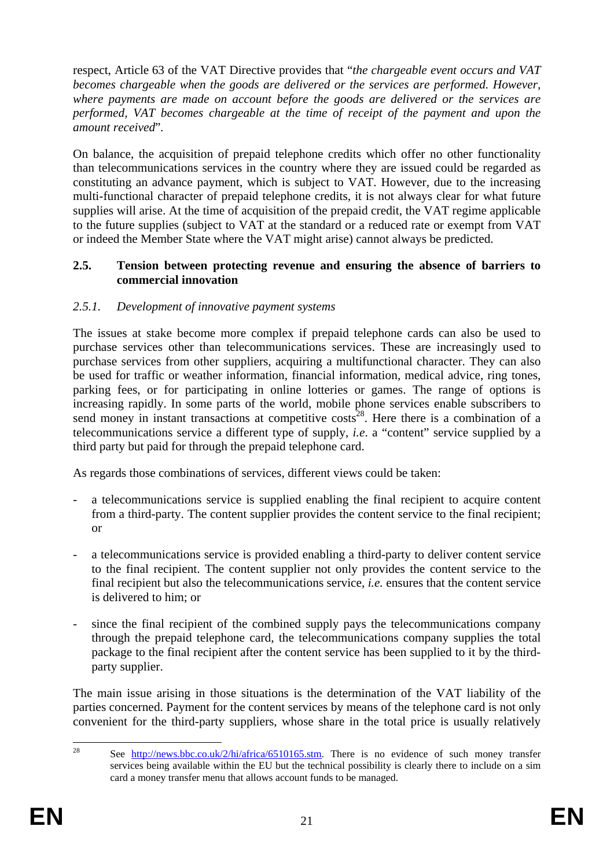respect, Article 63 of the VAT Directive provides that "*the chargeable event occurs and VAT becomes chargeable when the goods are delivered or the services are performed. However, where payments are made on account before the goods are delivered or the services are performed, VAT becomes chargeable at the time of receipt of the payment and upon the amount received*"*.* 

On balance, the acquisition of prepaid telephone credits which offer no other functionality than telecommunications services in the country where they are issued could be regarded as constituting an advance payment, which is subject to VAT. However, due to the increasing multi-functional character of prepaid telephone credits, it is not always clear for what future supplies will arise. At the time of acquisition of the prepaid credit, the VAT regime applicable to the future supplies (subject to VAT at the standard or a reduced rate or exempt from VAT or indeed the Member State where the VAT might arise) cannot always be predicted.

#### <span id="page-20-0"></span>**2.5. Tension between protecting revenue and ensuring the absence of barriers to commercial innovation**

### <span id="page-20-1"></span>*2.5.1. Development of innovative payment systems*

The issues at stake become more complex if prepaid telephone cards can also be used to purchase services other than telecommunications services. These are increasingly used to purchase services from other suppliers, acquiring a multifunctional character. They can also be used for traffic or weather information, financial information, medical advice, ring tones, parking fees, or for participating in online lotteries or games. The range of options is increasing rapidly. In some parts of the world, mobile phone services enable subscribers to send money in instant transactions at competitive  $\cos s^{28}$ . Here there is a combination of a telecommunications service a different type of supply, *i.e*. a "content" service supplied by a third party but paid for through the prepaid telephone card.

As regards those combinations of services, different views could be taken:

- a telecommunications service is supplied enabling the final recipient to acquire content from a third-party. The content supplier provides the content service to the final recipient; or
- a telecommunications service is provided enabling a third-party to deliver content service to the final recipient. The content supplier not only provides the content service to the final recipient but also the telecommunications service, *i.e.* ensures that the content service is delivered to him; or
- since the final recipient of the combined supply pays the telecommunications company through the prepaid telephone card, the telecommunications company supplies the total package to the final recipient after the content service has been supplied to it by the thirdparty supplier.

The main issue arising in those situations is the determination of the VAT liability of the parties concerned. Payment for the content services by means of the telephone card is not only convenient for the third-party suppliers, whose share in the total price is usually relatively

 $28$ See [http://news.bbc.co.uk/2/hi/africa/6510165.stm.](http://news.bbc.co.uk/2/hi/africa/6510165.stm) There is no evidence of such money transfer services being available within the EU but the technical possibility is clearly there to include on a sim card a money transfer menu that allows account funds to be managed.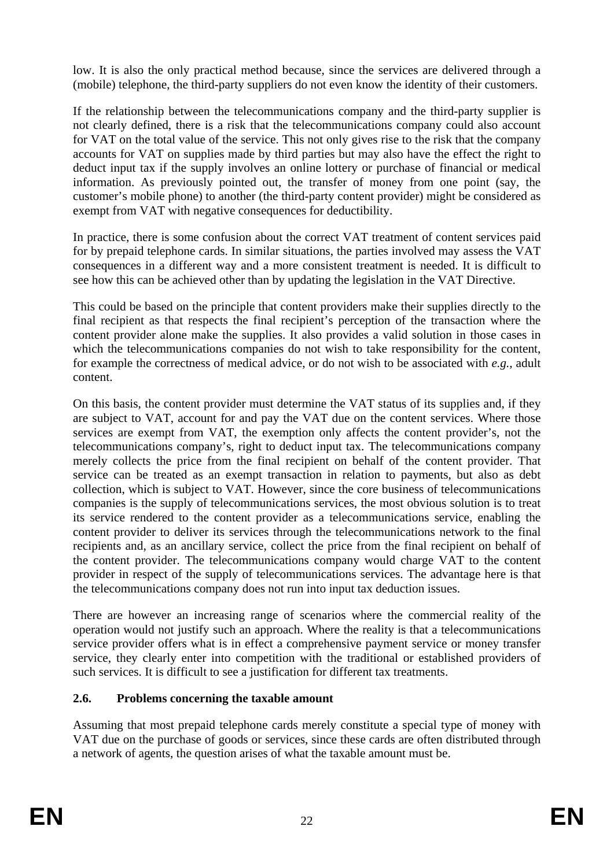low. It is also the only practical method because, since the services are delivered through a (mobile) telephone, the third-party suppliers do not even know the identity of their customers.

If the relationship between the telecommunications company and the third-party supplier is not clearly defined, there is a risk that the telecommunications company could also account for VAT on the total value of the service. This not only gives rise to the risk that the company accounts for VAT on supplies made by third parties but may also have the effect the right to deduct input tax if the supply involves an online lottery or purchase of financial or medical information. As previously pointed out, the transfer of money from one point (say, the customer's mobile phone) to another (the third-party content provider) might be considered as exempt from VAT with negative consequences for deductibility.

In practice, there is some confusion about the correct VAT treatment of content services paid for by prepaid telephone cards. In similar situations, the parties involved may assess the VAT consequences in a different way and a more consistent treatment is needed. It is difficult to see how this can be achieved other than by updating the legislation in the VAT Directive.

This could be based on the principle that content providers make their supplies directly to the final recipient as that respects the final recipient's perception of the transaction where the content provider alone make the supplies. It also provides a valid solution in those cases in which the telecommunications companies do not wish to take responsibility for the content, for example the correctness of medical advice, or do not wish to be associated with *e.g.,* adult content.

On this basis, the content provider must determine the VAT status of its supplies and, if they are subject to VAT, account for and pay the VAT due on the content services. Where those services are exempt from VAT, the exemption only affects the content provider's, not the telecommunications company's, right to deduct input tax. The telecommunications company merely collects the price from the final recipient on behalf of the content provider. That service can be treated as an exempt transaction in relation to payments, but also as debt collection, which is subject to VAT. However, since the core business of telecommunications companies is the supply of telecommunications services, the most obvious solution is to treat its service rendered to the content provider as a telecommunications service, enabling the content provider to deliver its services through the telecommunications network to the final recipients and, as an ancillary service, collect the price from the final recipient on behalf of the content provider. The telecommunications company would charge VAT to the content provider in respect of the supply of telecommunications services. The advantage here is that the telecommunications company does not run into input tax deduction issues.

There are however an increasing range of scenarios where the commercial reality of the operation would not justify such an approach. Where the reality is that a telecommunications service provider offers what is in effect a comprehensive payment service or money transfer service, they clearly enter into competition with the traditional or established providers of such services. It is difficult to see a justification for different tax treatments.

### <span id="page-21-0"></span>**2.6. Problems concerning the taxable amount**

Assuming that most prepaid telephone cards merely constitute a special type of money with VAT due on the purchase of goods or services, since these cards are often distributed through a network of agents, the question arises of what the taxable amount must be.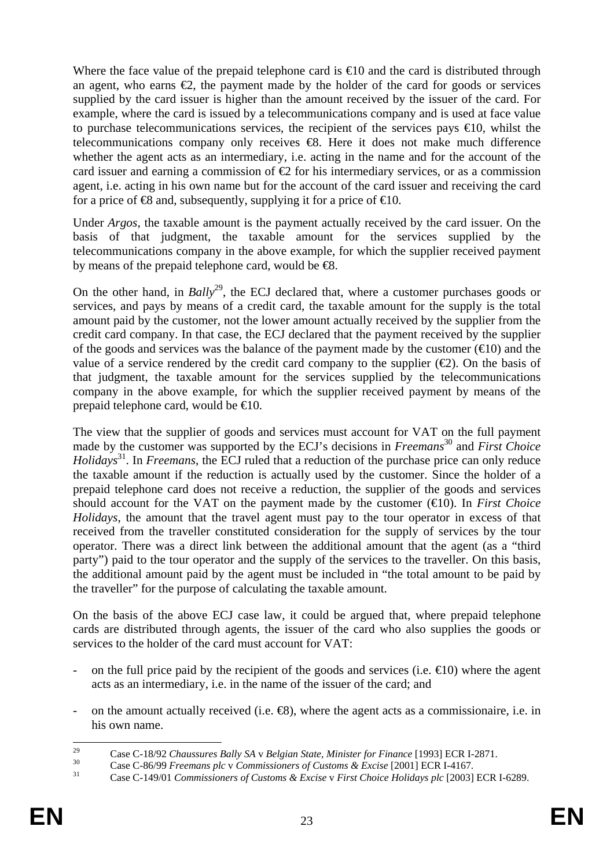Where the face value of the prepaid telephone card is  $\bigoplus$  0 and the card is distributed through an agent, who earns  $\epsilon$ , the payment made by the holder of the card for goods or services supplied by the card issuer is higher than the amount received by the issuer of the card. For example, where the card is issued by a telecommunications company and is used at face value to purchase telecommunications services, the recipient of the services pays  $\epsilon 0$ , whilst the telecommunications company only receives  $\Theta$ . Here it does not make much difference whether the agent acts as an intermediary, i.e. acting in the name and for the account of the card issuer and earning a commission of  $\epsilon$  for his intermediary services, or as a commission agent, i.e. acting in his own name but for the account of the card issuer and receiving the card for a price of  $\otimes$  and, subsequently, supplying it for a price of  $\otimes$  0.

Under *Argos*, the taxable amount is the payment actually received by the card issuer. On the basis of that judgment, the taxable amount for the services supplied by the telecommunications company in the above example, for which the supplier received payment by means of the prepaid telephone card, would be  $\Theta$ .

On the other hand, in *Bally*<sup>29</sup>, the ECJ declared that, where a customer purchases goods or services, and pays by means of a credit card, the taxable amount for the supply is the total amount paid by the customer, not the lower amount actually received by the supplier from the credit card company. In that case, the ECJ declared that the payment received by the supplier of the goods and services was the balance of the payment made by the customer  $(\triangleleft 0)$  and the value of a service rendered by the credit card company to the supplier  $(\epsilon 2)$ . On the basis of that judgment, the taxable amount for the services supplied by the telecommunications company in the above example, for which the supplier received payment by means of the prepaid telephone card, would be  $\infty$ 0.

The view that the supplier of goods and services must account for VAT on the full payment made by the customer was supported by the ECJ's decisions in *Freemans*<sup>30</sup> and *First Choice Holidays*31. In *Freemans*, the ECJ ruled that a reduction of the purchase price can only reduce the taxable amount if the reduction is actually used by the customer. Since the holder of a prepaid telephone card does not receive a reduction, the supplier of the goods and services should account for the VAT on the payment made by the customer  $(\bigoplus 0)$ . In *First Choice Holidays*, the amount that the travel agent must pay to the tour operator in excess of that received from the traveller constituted consideration for the supply of services by the tour operator. There was a direct link between the additional amount that the agent (as a "third party") paid to the tour operator and the supply of the services to the traveller. On this basis, the additional amount paid by the agent must be included in "the total amount to be paid by the traveller" for the purpose of calculating the taxable amount.

On the basis of the above ECJ case law, it could be argued that, where prepaid telephone cards are distributed through agents, the issuer of the card who also supplies the goods or services to the holder of the card must account for VAT:

- on the full price paid by the recipient of the goods and services (i.e.  $\in$ 10) where the agent acts as an intermediary, i.e. in the name of the issuer of the card; and
- on the amount actually received (i.e. €8), where the agent acts as a commissionaire, i.e. in his own name.

 $29$ <sup>29</sup> Case C-18/92 Chaussures Bally SA v Belgian State, Minister for Finance [1993] ECR I-2871.<br><sup>30</sup> Case C-86/99 Freemans plc v Commissioners of Customs & Excise [2001] ECR I-4167.<br><sup>31</sup> Case C-149/01 Commissioners of Cust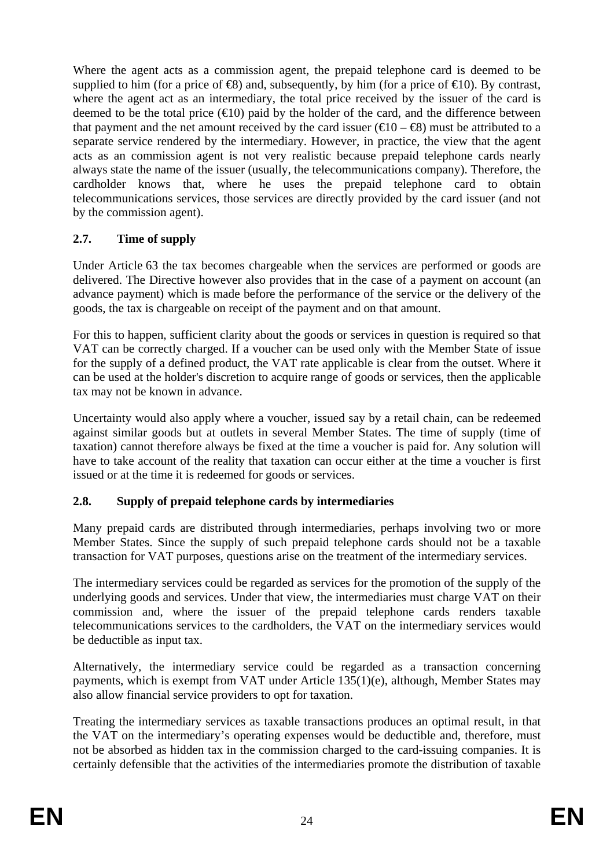Where the agent acts as a commission agent, the prepaid telephone card is deemed to be supplied to him (for a price of  $\bigoplus$ ) and, subsequently, by him (for a price of  $\bigoplus$ 0). By contrast, where the agent act as an intermediary, the total price received by the issuer of the card is deemed to be the total price  $(\epsilon 10)$  paid by the holder of the card, and the difference between that payment and the net amount received by the card issuer ( $\epsilon 0 - \epsilon 8$ ) must be attributed to a separate service rendered by the intermediary. However, in practice, the view that the agent acts as an commission agent is not very realistic because prepaid telephone cards nearly always state the name of the issuer (usually, the telecommunications company). Therefore, the cardholder knows that, where he uses the prepaid telephone card to obtain telecommunications services, those services are directly provided by the card issuer (and not by the commission agent).

# <span id="page-23-0"></span>**2.7. Time of supply**

Under Article 63 the tax becomes chargeable when the services are performed or goods are delivered. The Directive however also provides that in the case of a payment on account (an advance payment) which is made before the performance of the service or the delivery of the goods, the tax is chargeable on receipt of the payment and on that amount.

For this to happen, sufficient clarity about the goods or services in question is required so that VAT can be correctly charged. If a voucher can be used only with the Member State of issue for the supply of a defined product, the VAT rate applicable is clear from the outset. Where it can be used at the holder's discretion to acquire range of goods or services, then the applicable tax may not be known in advance.

Uncertainty would also apply where a voucher, issued say by a retail chain, can be redeemed against similar goods but at outlets in several Member States. The time of supply (time of taxation) cannot therefore always be fixed at the time a voucher is paid for. Any solution will have to take account of the reality that taxation can occur either at the time a voucher is first issued or at the time it is redeemed for goods or services.

### <span id="page-23-1"></span>**2.8. Supply of prepaid telephone cards by intermediaries**

Many prepaid cards are distributed through intermediaries, perhaps involving two or more Member States. Since the supply of such prepaid telephone cards should not be a taxable transaction for VAT purposes, questions arise on the treatment of the intermediary services.

The intermediary services could be regarded as services for the promotion of the supply of the underlying goods and services. Under that view, the intermediaries must charge VAT on their commission and, where the issuer of the prepaid telephone cards renders taxable telecommunications services to the cardholders, the VAT on the intermediary services would be deductible as input tax.

Alternatively, the intermediary service could be regarded as a transaction concerning payments, which is exempt from VAT under Article 135(1)(e), although, Member States may also allow financial service providers to opt for taxation.

Treating the intermediary services as taxable transactions produces an optimal result, in that the VAT on the intermediary's operating expenses would be deductible and, therefore, must not be absorbed as hidden tax in the commission charged to the card-issuing companies. It is certainly defensible that the activities of the intermediaries promote the distribution of taxable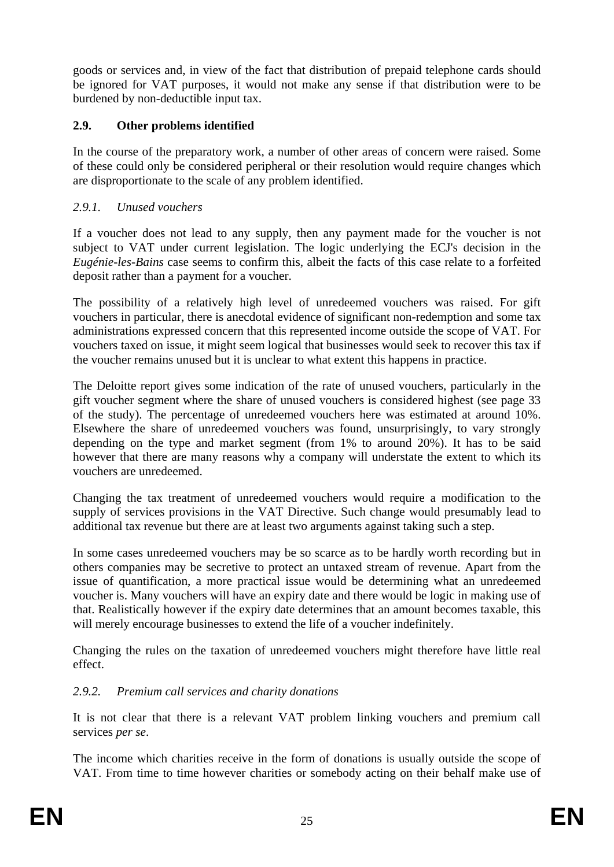goods or services and, in view of the fact that distribution of prepaid telephone cards should be ignored for VAT purposes, it would not make any sense if that distribution were to be burdened by non-deductible input tax.

### <span id="page-24-0"></span>**2.9. Other problems identified**

In the course of the preparatory work, a number of other areas of concern were raised. Some of these could only be considered peripheral or their resolution would require changes which are disproportionate to the scale of any problem identified.

### <span id="page-24-1"></span>*2.9.1. Unused vouchers*

If a voucher does not lead to any supply, then any payment made for the voucher is not subject to VAT under current legislation. The logic underlying the ECJ's decision in the *Eugénie-les-Bains* case seems to confirm this, albeit the facts of this case relate to a forfeited deposit rather than a payment for a voucher.

The possibility of a relatively high level of unredeemed vouchers was raised. For gift vouchers in particular, there is anecdotal evidence of significant non-redemption and some tax administrations expressed concern that this represented income outside the scope of VAT. For vouchers taxed on issue, it might seem logical that businesses would seek to recover this tax if the voucher remains unused but it is unclear to what extent this happens in practice.

The Deloitte report gives some indication of the rate of unused vouchers, particularly in the gift voucher segment where the share of unused vouchers is considered highest (see page 33 of the study). The percentage of unredeemed vouchers here was estimated at around 10%. Elsewhere the share of unredeemed vouchers was found, unsurprisingly, to vary strongly depending on the type and market segment (from 1% to around 20%). It has to be said however that there are many reasons why a company will understate the extent to which its vouchers are unredeemed.

Changing the tax treatment of unredeemed vouchers would require a modification to the supply of services provisions in the VAT Directive. Such change would presumably lead to additional tax revenue but there are at least two arguments against taking such a step.

In some cases unredeemed vouchers may be so scarce as to be hardly worth recording but in others companies may be secretive to protect an untaxed stream of revenue. Apart from the issue of quantification, a more practical issue would be determining what an unredeemed voucher is. Many vouchers will have an expiry date and there would be logic in making use of that. Realistically however if the expiry date determines that an amount becomes taxable, this will merely encourage businesses to extend the life of a voucher indefinitely.

Changing the rules on the taxation of unredeemed vouchers might therefore have little real effect.

### <span id="page-24-2"></span>*2.9.2. Premium call services and charity donations*

It is not clear that there is a relevant VAT problem linking vouchers and premium call services *per se*.

The income which charities receive in the form of donations is usually outside the scope of VAT. From time to time however charities or somebody acting on their behalf make use of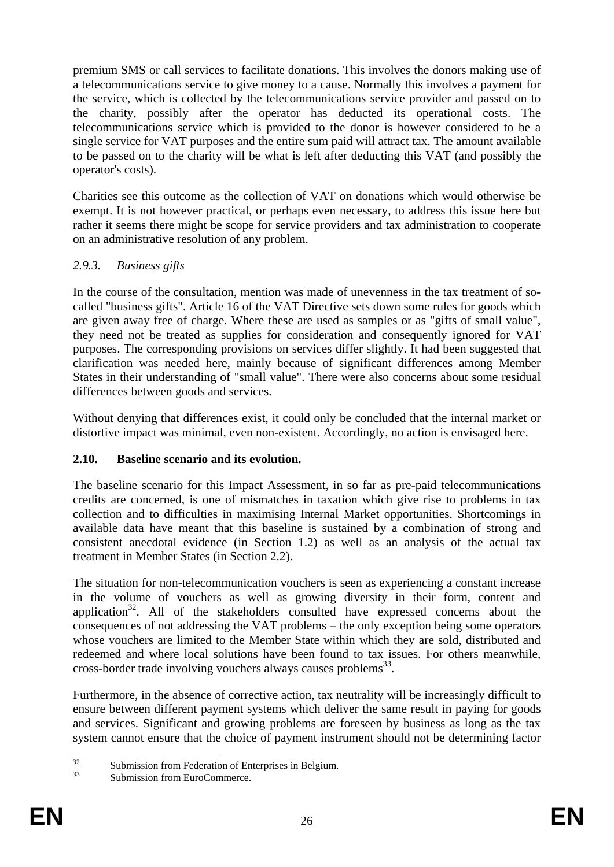premium SMS or call services to facilitate donations. This involves the donors making use of a telecommunications service to give money to a cause. Normally this involves a payment for the service, which is collected by the telecommunications service provider and passed on to the charity, possibly after the operator has deducted its operational costs. The telecommunications service which is provided to the donor is however considered to be a single service for VAT purposes and the entire sum paid will attract tax. The amount available to be passed on to the charity will be what is left after deducting this VAT (and possibly the operator's costs).

Charities see this outcome as the collection of VAT on donations which would otherwise be exempt. It is not however practical, or perhaps even necessary, to address this issue here but rather it seems there might be scope for service providers and tax administration to cooperate on an administrative resolution of any problem.

### <span id="page-25-0"></span>*2.9.3. Business gifts*

In the course of the consultation, mention was made of unevenness in the tax treatment of socalled "business gifts". Article 16 of the VAT Directive sets down some rules for goods which are given away free of charge. Where these are used as samples or as "gifts of small value", they need not be treated as supplies for consideration and consequently ignored for VAT purposes. The corresponding provisions on services differ slightly. It had been suggested that clarification was needed here, mainly because of significant differences among Member States in their understanding of "small value". There were also concerns about some residual differences between goods and services.

Without denying that differences exist, it could only be concluded that the internal market or distortive impact was minimal, even non-existent. Accordingly, no action is envisaged here.

### <span id="page-25-1"></span>**2.10. Baseline scenario and its evolution.**

The baseline scenario for this Impact Assessment, in so far as pre-paid telecommunications credits are concerned, is one of mismatches in taxation which give rise to problems in tax collection and to difficulties in maximising Internal Market opportunities. Shortcomings in available data have meant that this baseline is sustained by a combination of strong and consistent anecdotal evidence (in Section 1.2) as well as an analysis of the actual tax treatment in Member States (in Section 2.2).

The situation for non-telecommunication vouchers is seen as experiencing a constant increase in the volume of vouchers as well as growing diversity in their form, content and application $32$ . All of the stakeholders consulted have expressed concerns about the consequences of not addressing the VAT problems – the only exception being some operators whose vouchers are limited to the Member State within which they are sold, distributed and redeemed and where local solutions have been found to tax issues. For others meanwhile, cross-border trade involving vouchers always causes problems<sup>33</sup>.

Furthermore, in the absence of corrective action, tax neutrality will be increasingly difficult to ensure between different payment systems which deliver the same result in paying for goods and services. Significant and growing problems are foreseen by business as long as the tax system cannot ensure that the choice of payment instrument should not be determining factor

 $32$  $\frac{32}{33}$  Submission from Federation of Enterprises in Belgium.

Submission from EuroCommerce.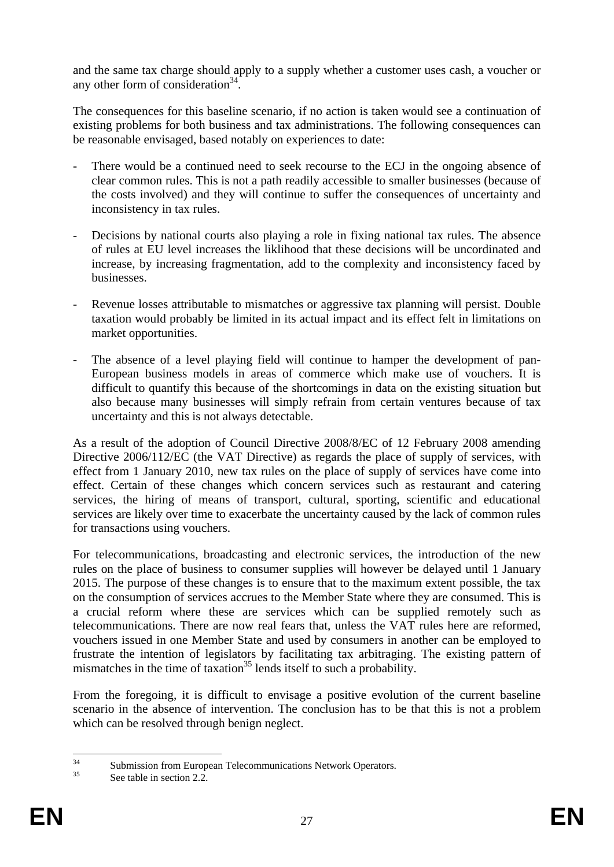and the same tax charge should apply to a supply whether a customer uses cash, a voucher or any other form of consideration $34$ .

The consequences for this baseline scenario, if no action is taken would see a continuation of existing problems for both business and tax administrations. The following consequences can be reasonable envisaged, based notably on experiences to date:

- There would be a continued need to seek recourse to the ECJ in the ongoing absence of clear common rules. This is not a path readily accessible to smaller businesses (because of the costs involved) and they will continue to suffer the consequences of uncertainty and inconsistency in tax rules.
- Decisions by national courts also playing a role in fixing national tax rules. The absence of rules at EU level increases the liklihood that these decisions will be uncordinated and increase, by increasing fragmentation, add to the complexity and inconsistency faced by businesses.
- Revenue losses attributable to mismatches or aggressive tax planning will persist. Double taxation would probably be limited in its actual impact and its effect felt in limitations on market opportunities.
- The absence of a level playing field will continue to hamper the development of pan-European business models in areas of commerce which make use of vouchers. It is difficult to quantify this because of the shortcomings in data on the existing situation but also because many businesses will simply refrain from certain ventures because of tax uncertainty and this is not always detectable.

As a result of the adoption of Council Directive 2008/8/EC of 12 February 2008 amending Directive 2006/112/EC (the VAT Directive) as regards the place of supply of services, with effect from 1 January 2010, new tax rules on the place of supply of services have come into effect. Certain of these changes which concern services such as restaurant and catering services, the hiring of means of transport, cultural, sporting, scientific and educational services are likely over time to exacerbate the uncertainty caused by the lack of common rules for transactions using vouchers.

For telecommunications, broadcasting and electronic services, the introduction of the new rules on the place of business to consumer supplies will however be delayed until 1 January 2015. The purpose of these changes is to ensure that to the maximum extent possible, the tax on the consumption of services accrues to the Member State where they are consumed. This is a crucial reform where these are services which can be supplied remotely such as telecommunications. There are now real fears that, unless the VAT rules here are reformed, vouchers issued in one Member State and used by consumers in another can be employed to frustrate the intention of legislators by facilitating tax arbitraging. The existing pattern of mismatches in the time of taxation<sup>35</sup> lends itself to such a probability.

From the foregoing, it is difficult to envisage a positive evolution of the current baseline scenario in the absence of intervention. The conclusion has to be that this is not a problem which can be resolved through benign neglect.

 $34$ <sup>34</sup> Submission from European Telecommunications Network Operators.

See table in section 2.2.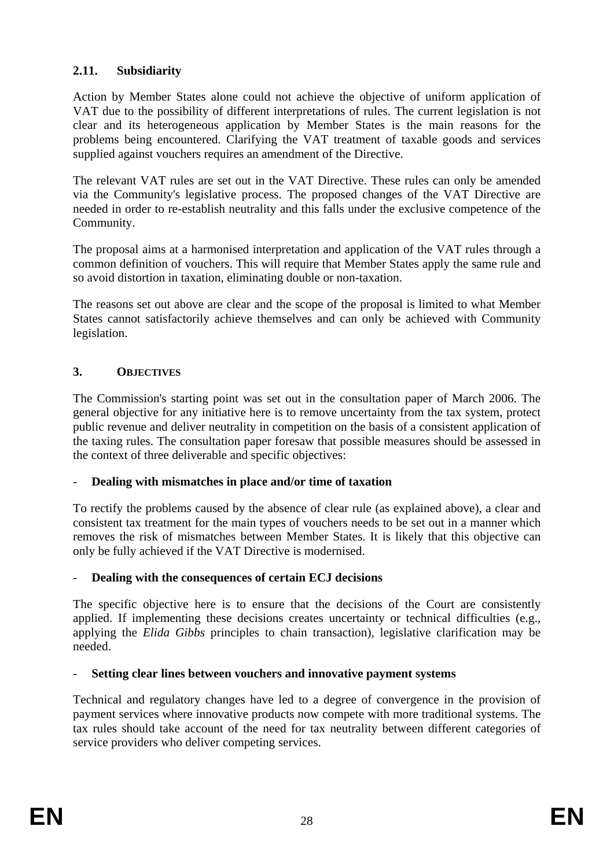### <span id="page-27-0"></span>**2.11. Subsidiarity**

Action by Member States alone could not achieve the objective of uniform application of VAT due to the possibility of different interpretations of rules. The current legislation is not clear and its heterogeneous application by Member States is the main reasons for the problems being encountered. Clarifying the VAT treatment of taxable goods and services supplied against vouchers requires an amendment of the Directive.

The relevant VAT rules are set out in the VAT Directive. These rules can only be amended via the Community's legislative process. The proposed changes of the VAT Directive are needed in order to re-establish neutrality and this falls under the exclusive competence of the Community.

The proposal aims at a harmonised interpretation and application of the VAT rules through a common definition of vouchers. This will require that Member States apply the same rule and so avoid distortion in taxation, eliminating double or non-taxation.

The reasons set out above are clear and the scope of the proposal is limited to what Member States cannot satisfactorily achieve themselves and can only be achieved with Community legislation.

### <span id="page-27-1"></span>**3. OBJECTIVES**

The Commission's starting point was set out in the consultation paper of March 2006. The general objective for any initiative here is to remove uncertainty from the tax system, protect public revenue and deliver neutrality in competition on the basis of a consistent application of the taxing rules. The consultation paper foresaw that possible measures should be assessed in the context of three deliverable and specific objectives:

### - **Dealing with mismatches in place and/or time of taxation**

To rectify the problems caused by the absence of clear rule (as explained above), a clear and consistent tax treatment for the main types of vouchers needs to be set out in a manner which removes the risk of mismatches between Member States. It is likely that this objective can only be fully achieved if the VAT Directive is modernised.

### - **Dealing with the consequences of certain ECJ decisions**

The specific objective here is to ensure that the decisions of the Court are consistently applied. If implementing these decisions creates uncertainty or technical difficulties (e.g., applying the *Elida Gibbs* principles to chain transaction), legislative clarification may be needed.

### - **Setting clear lines between vouchers and innovative payment systems**

Technical and regulatory changes have led to a degree of convergence in the provision of payment services where innovative products now compete with more traditional systems. The tax rules should take account of the need for tax neutrality between different categories of service providers who deliver competing services.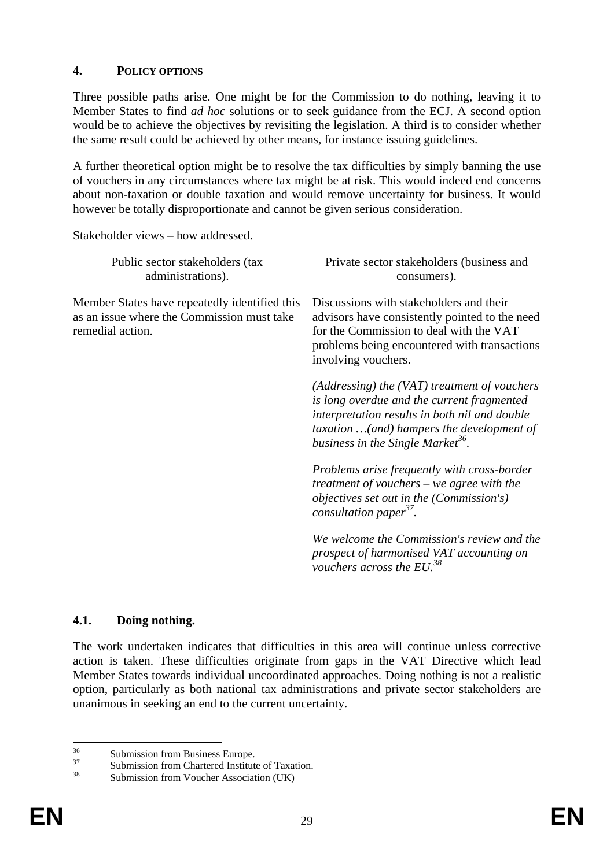#### <span id="page-28-0"></span>**4. POLICY OPTIONS**

Three possible paths arise. One might be for the Commission to do nothing, leaving it to Member States to find *ad hoc* solutions or to seek guidance from the ECJ. A second option would be to achieve the objectives by revisiting the legislation. A third is to consider whether the same result could be achieved by other means, for instance issuing guidelines.

A further theoretical option might be to resolve the tax difficulties by simply banning the use of vouchers in any circumstances where tax might be at risk. This would indeed end concerns about non-taxation or double taxation and would remove uncertainty for business. It would however be totally disproportionate and cannot be given serious consideration.

Stakeholder views – how addressed.

| Public sector stakeholders (tax<br>administrations).                                                            | Private sector stakeholders (business and<br>consumers).                                                                                                                                                                                       |  |  |
|-----------------------------------------------------------------------------------------------------------------|------------------------------------------------------------------------------------------------------------------------------------------------------------------------------------------------------------------------------------------------|--|--|
| Member States have repeatedly identified this<br>as an issue where the Commission must take<br>remedial action. | Discussions with stakeholders and their<br>advisors have consistently pointed to the need<br>for the Commission to deal with the VAT<br>problems being encountered with transactions<br>involving vouchers.                                    |  |  |
|                                                                                                                 | $(Addressing)$ the $(VAT)$ treatment of vouchers<br>is long overdue and the current fragmented<br>interpretation results in both nil and double<br>taxation  (and) hampers the development of<br>business in the Single Market <sup>36</sup> . |  |  |
|                                                                                                                 | Problems arise frequently with cross-border<br>treatment of vouchers $-$ we agree with the<br>objectives set out in the (Commission's)<br>consultation paper <sup>37</sup> .                                                                   |  |  |
|                                                                                                                 | We welcome the Commission's review and the<br>prospect of harmonised VAT accounting on<br>vouchers across the $EU^{38}$                                                                                                                        |  |  |

#### <span id="page-28-1"></span>**4.1. Doing nothing.**

The work undertaken indicates that difficulties in this area will continue unless corrective action is taken. These difficulties originate from gaps in the VAT Directive which lead Member States towards individual uncoordinated approaches. Doing nothing is not a realistic option, particularly as both national tax administrations and private sector stakeholders are unanimous in seeking an end to the current uncertainty.

 $36$  $36$  Submission from Business Europe.

 $\frac{37}{38}$  Submission from Chartered Institute of Taxation.

Submission from Voucher Association (UK)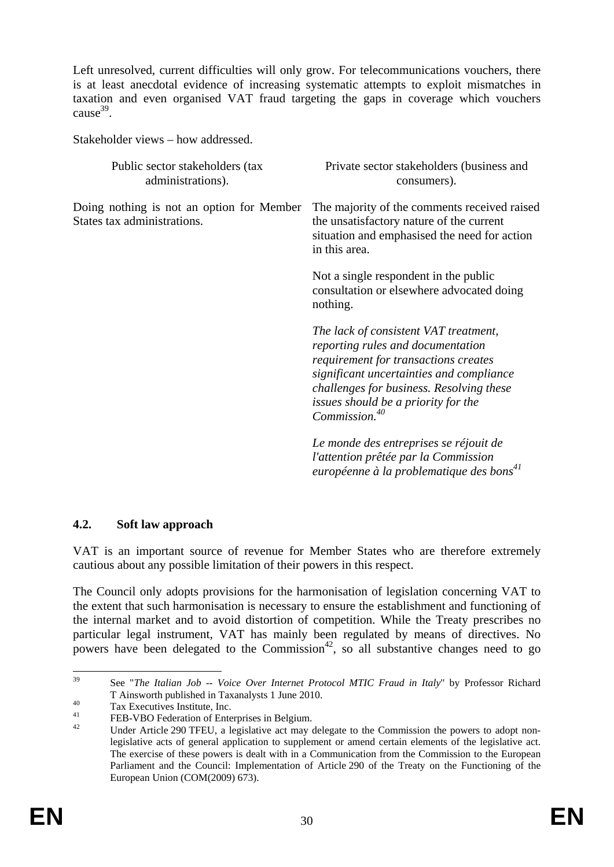Left unresolved, current difficulties will only grow. For telecommunications vouchers, there is at least anecdotal evidence of increasing systematic attempts to exploit mismatches in taxation and even organised VAT fraud targeting the gaps in coverage which vouchers  $cause<sup>39</sup>$ .

<span id="page-29-0"></span>Stakeholder views – how addressed.

| Public sector stakeholders (tax<br>administrations).                     | Private sector stakeholders (business and<br>consumers).                                                                                                                                                                                                                       |  |  |
|--------------------------------------------------------------------------|--------------------------------------------------------------------------------------------------------------------------------------------------------------------------------------------------------------------------------------------------------------------------------|--|--|
| Doing nothing is not an option for Member<br>States tax administrations. | The majority of the comments received raised<br>the unsatisfactory nature of the current<br>situation and emphasised the need for action<br>in this area.                                                                                                                      |  |  |
|                                                                          | Not a single respondent in the public<br>consultation or elsewhere advocated doing<br>nothing.                                                                                                                                                                                 |  |  |
|                                                                          | The lack of consistent VAT treatment,<br>reporting rules and documentation<br>requirement for transactions creates<br>significant uncertainties and compliance<br>challenges for business. Resolving these<br>issues should be a priority for the<br>Commission. <sup>40</sup> |  |  |
|                                                                          | Le monde des entreprises se réjouit de<br>l'attention prêtée par la Commission<br>européenne à la problematique des bons <sup>41</sup>                                                                                                                                         |  |  |

### **4.2. Soft law approach**

VAT is an important source of revenue for Member States who are therefore extremely cautious about any possible limitation of their powers in this respect.

The Council only adopts provisions for the harmonisation of legislation concerning VAT to the extent that such harmonisation is necessary to ensure the establishment and functioning of the internal market and to avoid distortion of competition. While the Treaty prescribes no particular legal instrument, VAT has mainly been regulated by means of directives. No powers have been delegated to the Commission<sup>42</sup>, so all substantive changes need to go

<sup>39</sup> 39 See "*The Italian Job -- Voice Over Internet Protocol MTIC Fraud in Italy*" by Professor Richard T Ainsworth published in Taxanalysts 1 June 2010.<br>
Tax Executives Institute, Inc.

 $^{41}$  FEB-VBO Federation of Enterprises in Belgium.

Under Article 290 TFEU, a legislative act may delegate to the Commission the powers to adopt nonlegislative acts of general application to supplement or amend certain elements of the legislative act. The exercise of these powers is dealt with in a Communication from the Commission to the European Parliament and the Council: Implementation of Article 290 of the Treaty on the Functioning of the [European Union \(COM\(2009\) 673\).](http://eur-lex.europa.eu/LexUriServ/LexUriServ.do?uri=COM:2009:0673:FIN:EN:PDF)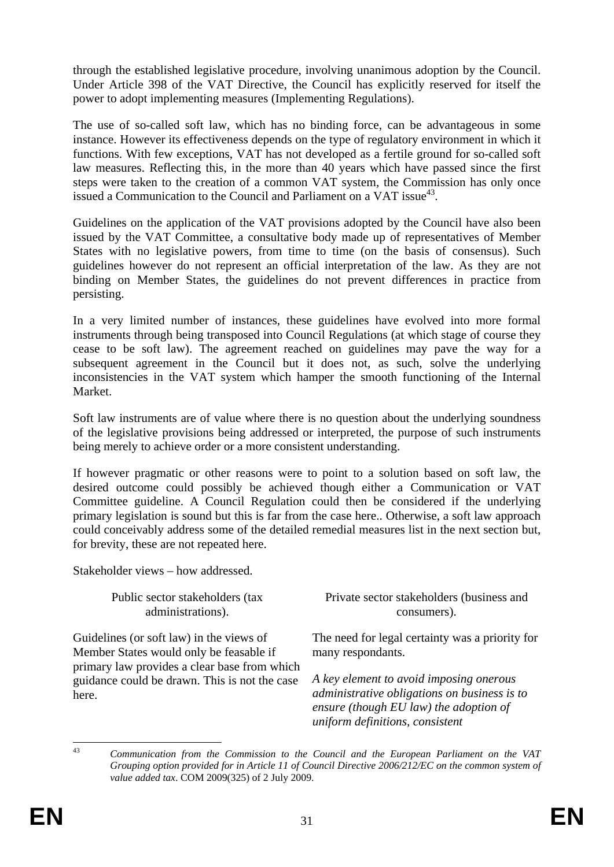through the established legislative procedure, involving unanimous adoption by the Council. Under Article 398 of the VAT Directive, the Council has explicitly reserved for itself the power to adopt implementing measures (Implementing Regulations).

The use of so-called soft law, which has no binding force, can be advantageous in some instance. However its effectiveness depends on the type of regulatory environment in which it functions. With few exceptions, VAT has not developed as a fertile ground for so-called soft law measures. Reflecting this, in the more than 40 years which have passed since the first steps were taken to the creation of a common VAT system, the Commission has only once issued a Communication to the Council and Parliament on a VAT issue<sup>43</sup>.

Guidelines on the application of the VAT provisions adopted by the Council have also been issued by the VAT Committee, a consultative body made up of representatives of Member States with no legislative powers, from time to time (on the basis of consensus). Such guidelines however do not represent an official interpretation of the law. As they are not binding on Member States, the guidelines do not prevent differences in practice from persisting.

In a very limited number of instances, these guidelines have evolved into more formal instruments through being transposed into Council Regulations (at which stage of course they cease to be soft law). The agreement reached on guidelines may pave the way for a subsequent agreement in the Council but it does not, as such, solve the underlying inconsistencies in the VAT system which hamper the smooth functioning of the Internal Market.

Soft law instruments are of value where there is no question about the underlying soundness of the legislative provisions being addressed or interpreted, the purpose of such instruments being merely to achieve order or a more consistent understanding.

If however pragmatic or other reasons were to point to a solution based on soft law, the desired outcome could possibly be achieved though either a Communication or VAT Committee guideline. A Council Regulation could then be considered if the underlying primary legislation is sound but this is far from the case here.. Otherwise, a soft law approach could conceivably address some of the detailed remedial measures list in the next section but, for brevity, these are not repeated here.

Stakeholder views – how addressed.

Public sector stakeholders (tax administrations).

Guidelines (or soft law) in the views of Member States would only be feasable if primary law provides a clear base from which guidance could be drawn. This is not the case here.

Private sector stakeholders (business and consumers).

The need for legal certainty was a priority for many respondants.

*A key element to avoid imposing onerous administrative obligations on business is to ensure (though EU law) the adoption of uniform definitions, consistent* 

 $\overline{43}$ 

<sup>43</sup> *Communication from the Commission to the Council and the European Parliament on the VAT Grouping option provided for in Article 11 of Council Directive 2006/212/EC on the common system of value added tax*. COM 2009(325) of 2 July 2009.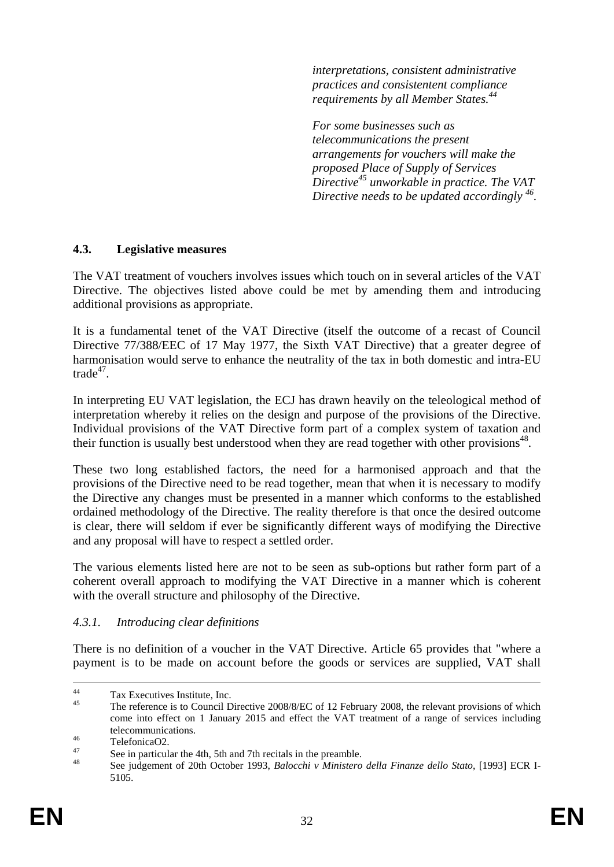*interpretations, consistent administrative practices and consistentent compliance requirements by all Member States.44*

*For some businesses such as telecommunications the present arrangements for vouchers will make the proposed Place of Supply of Services Directive45 unworkable in practice. The VAT Directive needs to be updated accordingly 46.* 

#### <span id="page-31-0"></span>**4.3. Legislative measures**

The VAT treatment of vouchers involves issues which touch on in several articles of the VAT Directive. The objectives listed above could be met by amending them and introducing additional provisions as appropriate.

It is a fundamental tenet of the VAT Directive (itself the outcome of a recast of Council Directive 77/388/EEC of 17 May 1977, the Sixth VAT Directive) that a greater degree of harmonisation would serve to enhance the neutrality of the tax in both domestic and intra-EU trade47.

In interpreting EU VAT legislation, the ECJ has drawn heavily on the teleological method of interpretation whereby it relies on the design and purpose of the provisions of the Directive. Individual provisions of the VAT Directive form part of a complex system of taxation and their function is usually best understood when they are read together with other provisions<sup>48</sup>.

These two long established factors, the need for a harmonised approach and that the provisions of the Directive need to be read together, mean that when it is necessary to modify the Directive any changes must be presented in a manner which conforms to the established ordained methodology of the Directive. The reality therefore is that once the desired outcome is clear, there will seldom if ever be significantly different ways of modifying the Directive and any proposal will have to respect a settled order.

The various elements listed here are not to be seen as sub-options but rather form part of a coherent overall approach to modifying the VAT Directive in a manner which is coherent with the overall structure and philosophy of the Directive.

### <span id="page-31-1"></span>*4.3.1. Introducing clear definitions*

There is no definition of a voucher in the VAT Directive. Article 65 provides that "where a payment is to be made on account before the goods or services are supplied, VAT shall

<sup>&</sup>lt;sup>44</sup> Tax Executives Institute, Inc.<br> $\frac{45}{\text{The reference is to Counal}}$ 

The reference is to Council Directive 2008/8/EC of 12 February 2008, the relevant provisions of which come into effect on 1 January 2015 and effect the VAT treatment of a range of services including telecommunications.<br>TelefonicaO2.

<sup>47</sup> See in particular the 4th, 5th and 7th recitals in the preamble. 48 See judgement of 20th October 1993, *Balocchi v Ministero della Finanze dello Stato*, [1993] ECR I-5105.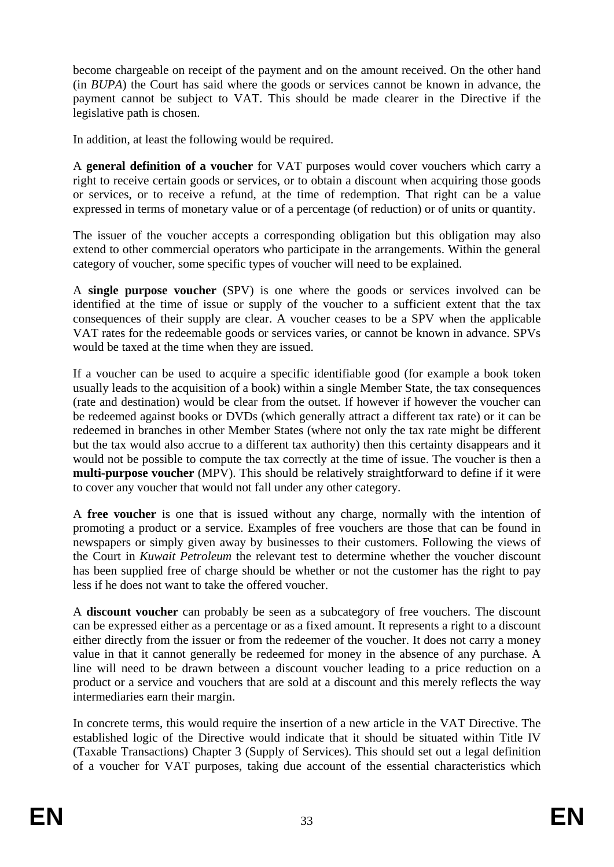become chargeable on receipt of the payment and on the amount received. On the other hand (in *BUPA*) the Court has said where the goods or services cannot be known in advance, the payment cannot be subject to VAT. This should be made clearer in the Directive if the legislative path is chosen.

In addition, at least the following would be required.

A **general definition of a voucher** for VAT purposes would cover vouchers which carry a right to receive certain goods or services, or to obtain a discount when acquiring those goods or services, or to receive a refund, at the time of redemption. That right can be a value expressed in terms of monetary value or of a percentage (of reduction) or of units or quantity.

The issuer of the voucher accepts a corresponding obligation but this obligation may also extend to other commercial operators who participate in the arrangements. Within the general category of voucher, some specific types of voucher will need to be explained.

A **single purpose voucher** (SPV) is one where the goods or services involved can be identified at the time of issue or supply of the voucher to a sufficient extent that the tax consequences of their supply are clear. A voucher ceases to be a SPV when the applicable VAT rates for the redeemable goods or services varies, or cannot be known in advance. SPVs would be taxed at the time when they are issued.

If a voucher can be used to acquire a specific identifiable good (for example a book token usually leads to the acquisition of a book) within a single Member State, the tax consequences (rate and destination) would be clear from the outset. If however if however the voucher can be redeemed against books or DVDs (which generally attract a different tax rate) or it can be redeemed in branches in other Member States (where not only the tax rate might be different but the tax would also accrue to a different tax authority) then this certainty disappears and it would not be possible to compute the tax correctly at the time of issue. The voucher is then a **multi-purpose voucher** (MPV). This should be relatively straightforward to define if it were to cover any voucher that would not fall under any other category.

A **free voucher** is one that is issued without any charge, normally with the intention of promoting a product or a service. Examples of free vouchers are those that can be found in newspapers or simply given away by businesses to their customers. Following the views of the Court in *Kuwait Petroleum* the relevant test to determine whether the voucher discount has been supplied free of charge should be whether or not the customer has the right to pay less if he does not want to take the offered voucher.

A **discount voucher** can probably be seen as a subcategory of free vouchers. The discount can be expressed either as a percentage or as a fixed amount. It represents a right to a discount either directly from the issuer or from the redeemer of the voucher. It does not carry a money value in that it cannot generally be redeemed for money in the absence of any purchase. A line will need to be drawn between a discount voucher leading to a price reduction on a product or a service and vouchers that are sold at a discount and this merely reflects the way intermediaries earn their margin.

In concrete terms, this would require the insertion of a new article in the VAT Directive. The established logic of the Directive would indicate that it should be situated within Title IV (Taxable Transactions) Chapter 3 (Supply of Services). This should set out a legal definition of a voucher for VAT purposes, taking due account of the essential characteristics which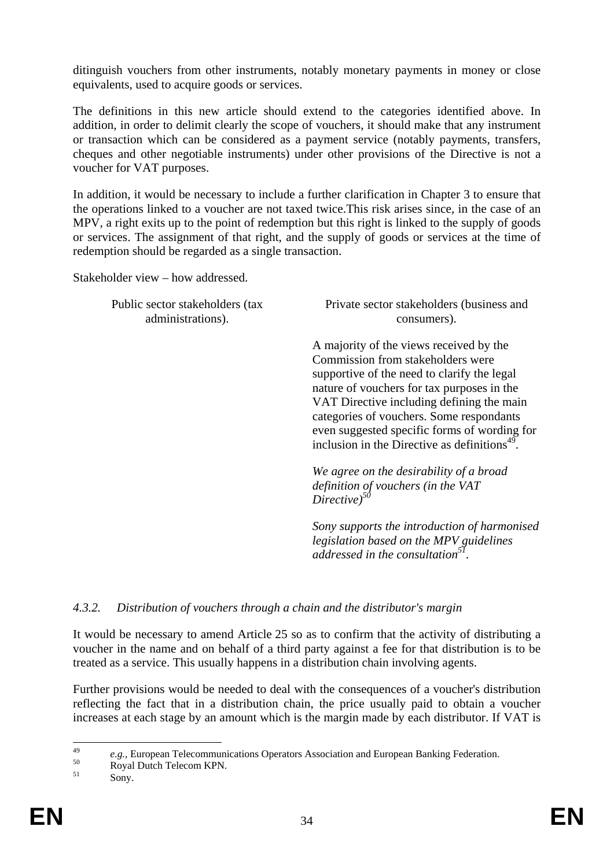ditinguish vouchers from other instruments, notably monetary payments in money or close equivalents, used to acquire goods or services.

The definitions in this new article should extend to the categories identified above. In addition, in order to delimit clearly the scope of vouchers, it should make that any instrument or transaction which can be considered as a payment service (notably payments, transfers, cheques and other negotiable instruments) under other provisions of the Directive is not a voucher for VAT purposes.

In addition, it would be necessary to include a further clarification in Chapter 3 to ensure that the operations linked to a voucher are not taxed twice.This risk arises since, in the case of an MPV, a right exits up to the point of redemption but this right is linked to the supply of goods or services. The assignment of that right, and the supply of goods or services at the time of redemption should be regarded as a single transaction.

Stakeholder view – how addressed.

Public sector stakeholders (tax administrations).

Private sector stakeholders (business and consumers).

 A majority of the views received by the Commission from stakeholders were supportive of the need to clarify the legal nature of vouchers for tax purposes in the VAT Directive including defining the main categories of vouchers. Some respondants even suggested specific forms of wording for inclusion in the Directive as definitions $49$ .

*We agree on the desirability of a broad definition of vouchers (in the VAT Directive)50*

*Sony supports the introduction of harmonised legislation based on the MPV guidelines addressed in the consultation*<sup>5</sup>

#### <span id="page-33-0"></span>*4.3.2. Distribution of vouchers through a chain and the distributor's margin*

It would be necessary to amend Article 25 so as to confirm that the activity of distributing a voucher in the name and on behalf of a third party against a fee for that distribution is to be treated as a service. This usually happens in a distribution chain involving agents.

Further provisions would be needed to deal with the consequences of a voucher's distribution reflecting the fact that in a distribution chain, the price usually paid to obtain a voucher increases at each stage by an amount which is the margin made by each distributor. If VAT is

 $\overline{49}$ <sup>49</sup> *e.g.*, European Telecommunications Operators Association and European Banking Federation.<br>
Solution Royal Dutch Telecom KPN.

Sony.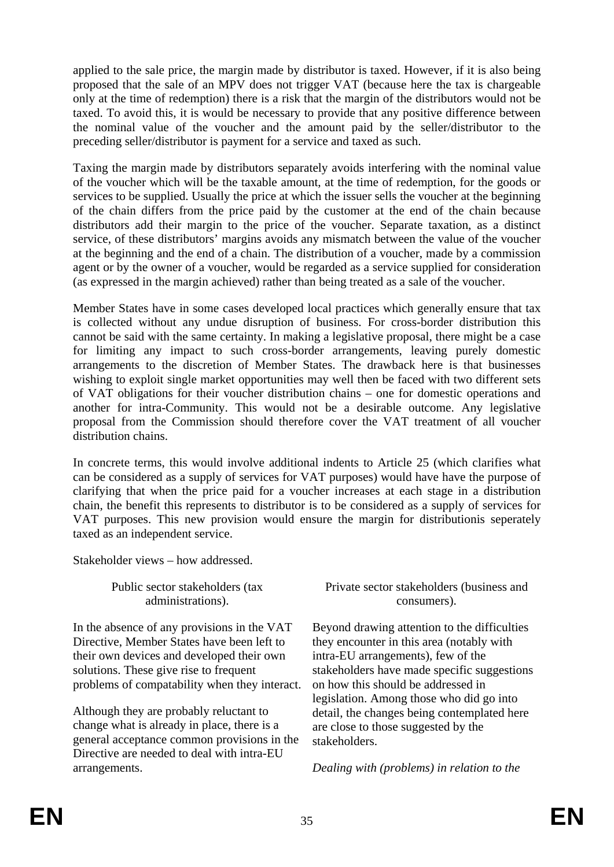applied to the sale price, the margin made by distributor is taxed. However, if it is also being proposed that the sale of an MPV does not trigger VAT (because here the tax is chargeable only at the time of redemption) there is a risk that the margin of the distributors would not be taxed. To avoid this, it is would be necessary to provide that any positive difference between the nominal value of the voucher and the amount paid by the seller/distributor to the preceding seller/distributor is payment for a service and taxed as such.

Taxing the margin made by distributors separately avoids interfering with the nominal value of the voucher which will be the taxable amount, at the time of redemption, for the goods or services to be supplied. Usually the price at which the issuer sells the voucher at the beginning of the chain differs from the price paid by the customer at the end of the chain because distributors add their margin to the price of the voucher. Separate taxation, as a distinct service, of these distributors' margins avoids any mismatch between the value of the voucher at the beginning and the end of a chain. The distribution of a voucher, made by a commission agent or by the owner of a voucher, would be regarded as a service supplied for consideration (as expressed in the margin achieved) rather than being treated as a sale of the voucher.

Member States have in some cases developed local practices which generally ensure that tax is collected without any undue disruption of business. For cross-border distribution this cannot be said with the same certainty. In making a legislative proposal, there might be a case for limiting any impact to such cross-border arrangements, leaving purely domestic arrangements to the discretion of Member States. The drawback here is that businesses wishing to exploit single market opportunities may well then be faced with two different sets of VAT obligations for their voucher distribution chains – one for domestic operations and another for intra-Community. This would not be a desirable outcome. Any legislative proposal from the Commission should therefore cover the VAT treatment of all voucher distribution chains.

In concrete terms, this would involve additional indents to Article 25 (which clarifies what can be considered as a supply of services for VAT purposes) would have have the purpose of clarifying that when the price paid for a voucher increases at each stage in a distribution chain, the benefit this represents to distributor is to be considered as a supply of services for VAT purposes. This new provision would ensure the margin for distributionis seperately taxed as an independent service.

Stakeholder views – how addressed.

Public sector stakeholders (tax administrations).

In the absence of any provisions in the VAT Directive, Member States have been left to their own devices and developed their own solutions. These give rise to frequent problems of compatability when they interact.

Although they are probably reluctant to change what is already in place, there is a general acceptance common provisions in the Directive are needed to deal with intra-EU arrangements.

Private sector stakeholders (business and consumers).

Beyond drawing attention to the difficulties they encounter in this area (notably with intra-EU arrangements), few of the stakeholders have made specific suggestions on how this should be addressed in legislation. Among those who did go into detail, the changes being contemplated here are close to those suggested by the stakeholders.

*Dealing with (problems) in relation to the*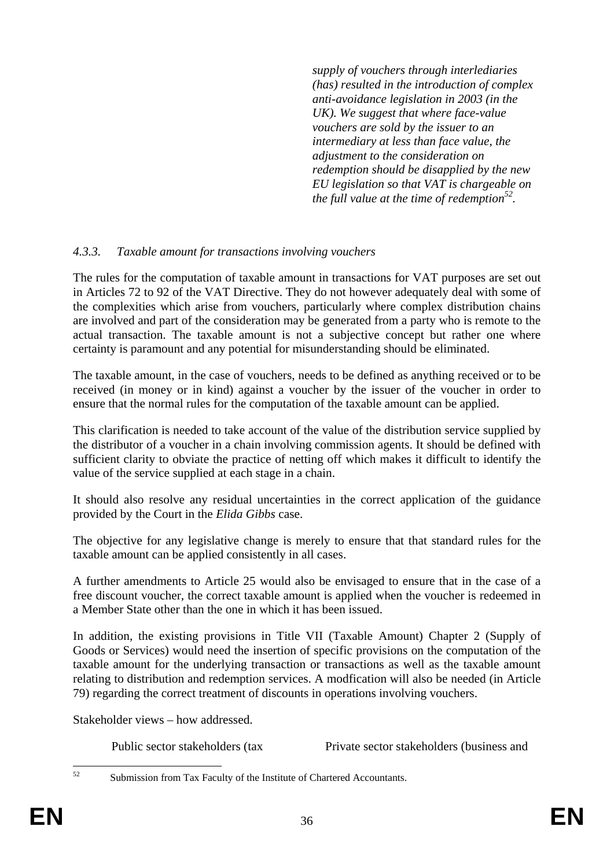*supply of vouchers through interlediaries (has) resulted in the introduction of complex anti-avoidance legislation in 2003 (in the UK). We suggest that where face-value vouchers are sold by the issuer to an intermediary at less than face value, the adjustment to the consideration on redemption should be disapplied by the new EU legislation so that VAT is chargeable on the full value at the time of redemption*<sup>52</sup>.

### <span id="page-35-0"></span>*4.3.3. Taxable amount for transactions involving vouchers*

The rules for the computation of taxable amount in transactions for VAT purposes are set out in Articles 72 to 92 of the VAT Directive. They do not however adequately deal with some of the complexities which arise from vouchers, particularly where complex distribution chains are involved and part of the consideration may be generated from a party who is remote to the actual transaction. The taxable amount is not a subjective concept but rather one where certainty is paramount and any potential for misunderstanding should be eliminated.

The taxable amount, in the case of vouchers, needs to be defined as anything received or to be received (in money or in kind) against a voucher by the issuer of the voucher in order to ensure that the normal rules for the computation of the taxable amount can be applied.

This clarification is needed to take account of the value of the distribution service supplied by the distributor of a voucher in a chain involving commission agents. It should be defined with sufficient clarity to obviate the practice of netting off which makes it difficult to identify the value of the service supplied at each stage in a chain.

It should also resolve any residual uncertainties in the correct application of the guidance provided by the Court in the *Elida Gibbs* case.

The objective for any legislative change is merely to ensure that that standard rules for the taxable amount can be applied consistently in all cases.

A further amendments to Article 25 would also be envisaged to ensure that in the case of a free discount voucher, the correct taxable amount is applied when the voucher is redeemed in a Member State other than the one in which it has been issued.

In addition, the existing provisions in Title VII (Taxable Amount) Chapter 2 (Supply of Goods or Services) would need the insertion of specific provisions on the computation of the taxable amount for the underlying transaction or transactions as well as the taxable amount relating to distribution and redemption services. A modfication will also be needed (in Article 79) regarding the correct treatment of discounts in operations involving vouchers.

Stakeholder views – how addressed.

Public sector stakeholders (tax Private sector stakeholders (business and

 $52$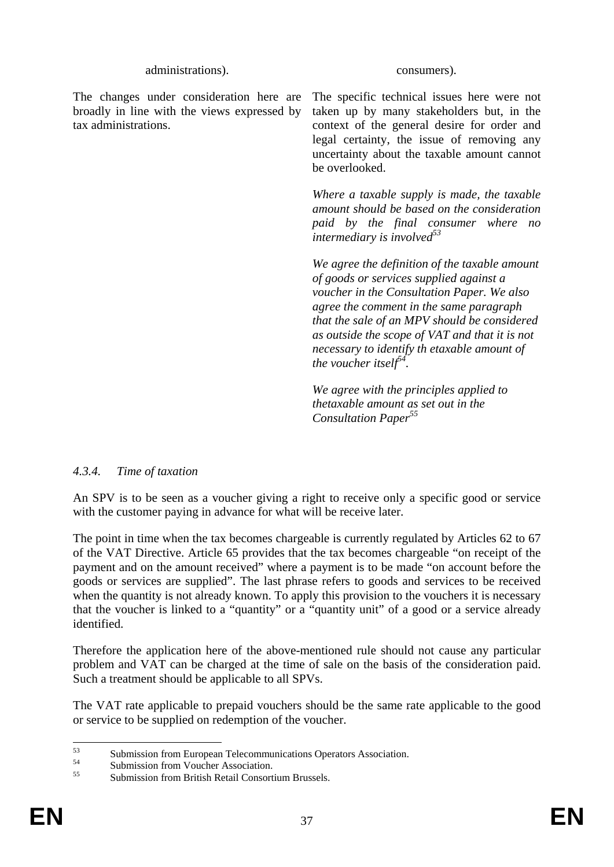administrations). consumers).

The changes under consideration here are broadly in line with the views expressed by tax administrations.

The specific technical issues here were not taken up by many stakeholders but, in the context of the general desire for order and legal certainty, the issue of removing any uncertainty about the taxable amount cannot be overlooked.

*Where a taxable supply is made, the taxable amount should be based on the consideration paid by the final consumer where no intermediary is involved53*

*We agree the definition of the taxable amount of goods or services supplied against a voucher in the Consultation Paper. We also agree the comment in the same paragraph that the sale of an MPV should be considered as outside the scope of VAT and that it is not necessary to identify th etaxable amount of the voucher itself*<sup> $54$ </sup>.

*We agree with the principles applied to thetaxable amount as set out in the Consultation Paper55*

### <span id="page-36-0"></span>*4.3.4. Time of taxation*

An SPV is to be seen as a voucher giving a right to receive only a specific good or service with the customer paying in advance for what will be receive later.

The point in time when the tax becomes chargeable is currently regulated by Articles 62 to 67 of the VAT Directive. Article 65 provides that the tax becomes chargeable "on receipt of the payment and on the amount received" where a payment is to be made "on account before the goods or services are supplied". The last phrase refers to goods and services to be received when the quantity is not already known. To apply this provision to the vouchers it is necessary that the voucher is linked to a "quantity" or a "quantity unit" of a good or a service already identified.

Therefore the application here of the above-mentioned rule should not cause any particular problem and VAT can be charged at the time of sale on the basis of the consideration paid. Such a treatment should be applicable to all SPVs.

The VAT rate applicable to prepaid vouchers should be the same rate applicable to the good or service to be supplied on redemption of the voucher.

 $53$  $^{53}$  Submission from European Telecommunications Operators Association.

 $^{54}$  Submission from Voucher Association.

Submission from British Retail Consortium Brussels.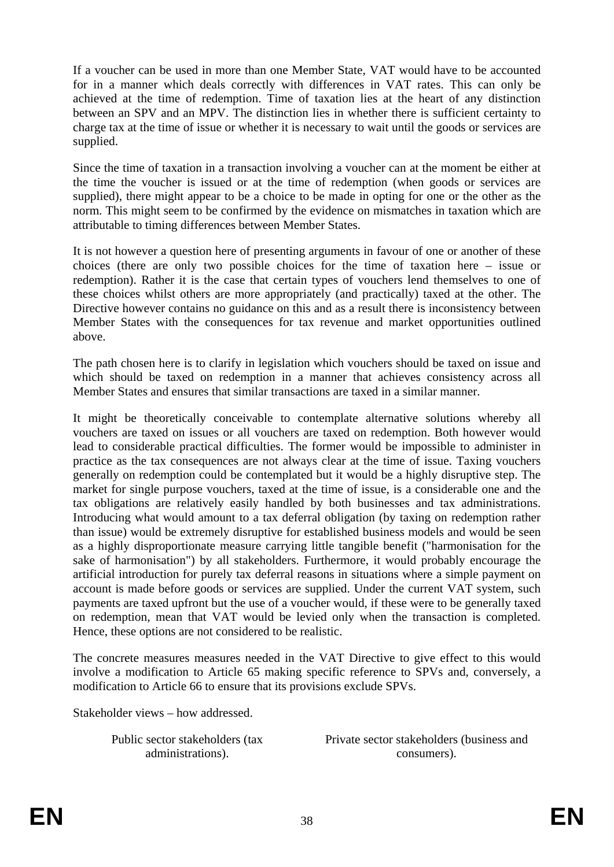If a voucher can be used in more than one Member State, VAT would have to be accounted for in a manner which deals correctly with differences in VAT rates. This can only be achieved at the time of redemption. Time of taxation lies at the heart of any distinction between an SPV and an MPV. The distinction lies in whether there is sufficient certainty to charge tax at the time of issue or whether it is necessary to wait until the goods or services are supplied.

Since the time of taxation in a transaction involving a voucher can at the moment be either at the time the voucher is issued or at the time of redemption (when goods or services are supplied), there might appear to be a choice to be made in opting for one or the other as the norm. This might seem to be confirmed by the evidence on mismatches in taxation which are attributable to timing differences between Member States.

It is not however a question here of presenting arguments in favour of one or another of these choices (there are only two possible choices for the time of taxation here – issue or redemption). Rather it is the case that certain types of vouchers lend themselves to one of these choices whilst others are more appropriately (and practically) taxed at the other. The Directive however contains no guidance on this and as a result there is inconsistency between Member States with the consequences for tax revenue and market opportunities outlined above.

The path chosen here is to clarify in legislation which vouchers should be taxed on issue and which should be taxed on redemption in a manner that achieves consistency across all Member States and ensures that similar transactions are taxed in a similar manner.

It might be theoretically conceivable to contemplate alternative solutions whereby all vouchers are taxed on issues or all vouchers are taxed on redemption. Both however would lead to considerable practical difficulties. The former would be impossible to administer in practice as the tax consequences are not always clear at the time of issue. Taxing vouchers generally on redemption could be contemplated but it would be a highly disruptive step. The market for single purpose vouchers, taxed at the time of issue, is a considerable one and the tax obligations are relatively easily handled by both businesses and tax administrations. Introducing what would amount to a tax deferral obligation (by taxing on redemption rather than issue) would be extremely disruptive for established business models and would be seen as a highly disproportionate measure carrying little tangible benefit ("harmonisation for the sake of harmonisation") by all stakeholders. Furthermore, it would probably encourage the artificial introduction for purely tax deferral reasons in situations where a simple payment on account is made before goods or services are supplied. Under the current VAT system, such payments are taxed upfront but the use of a voucher would, if these were to be generally taxed on redemption, mean that VAT would be levied only when the transaction is completed. Hence, these options are not considered to be realistic.

The concrete measures measures needed in the VAT Directive to give effect to this would involve a modification to Article 65 making specific reference to SPVs and, conversely, a modification to Article 66 to ensure that its provisions exclude SPVs.

Stakeholder views – how addressed.

Public sector stakeholders (tax administrations).

Private sector stakeholders (business and consumers).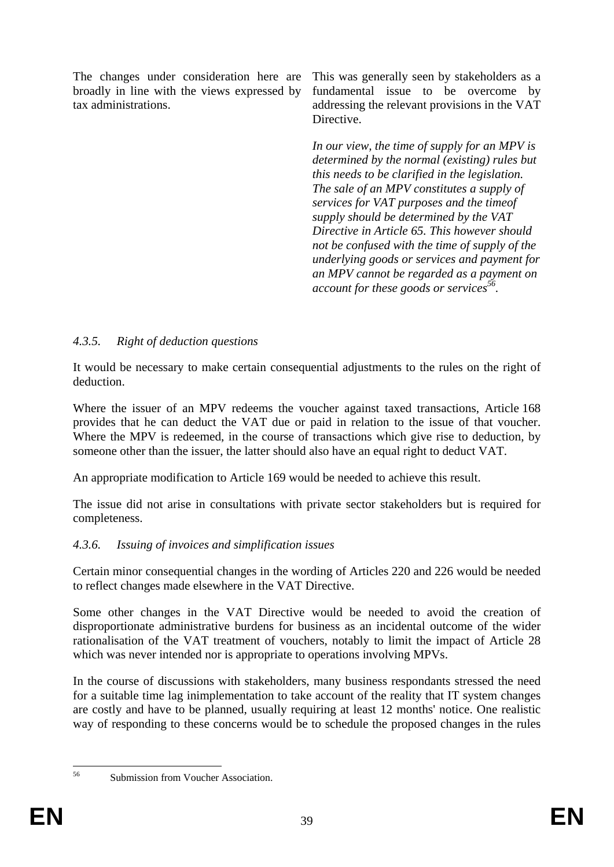The changes under consideration here are broadly in line with the views expressed by tax administrations.

This was generally seen by stakeholders as a fundamental issue to be overcome by addressing the relevant provisions in the VAT Directive.

*In our view, the time of supply for an MPV is determined by the normal (existing) rules but this needs to be clarified in the legislation. The sale of an MPV constitutes a supply of services for VAT purposes and the timeof supply should be determined by the VAT Directive in Article 65. This however should not be confused with the time of supply of the underlying goods or services and payment for an MPV cannot be regarded as a payment on account for these goods or services*<sup>56</sup>.

### <span id="page-38-0"></span>*4.3.5. Right of deduction questions*

It would be necessary to make certain consequential adjustments to the rules on the right of deduction.

Where the issuer of an MPV redeems the voucher against taxed transactions, Article 168 provides that he can deduct the VAT due or paid in relation to the issue of that voucher. Where the MPV is redeemed, in the course of transactions which give rise to deduction, by someone other than the issuer, the latter should also have an equal right to deduct VAT.

An appropriate modification to Article 169 would be needed to achieve this result.

The issue did not arise in consultations with private sector stakeholders but is required for completeness.

### <span id="page-38-1"></span>*4.3.6. Issuing of invoices and simplification issues*

Certain minor consequential changes in the wording of Articles 220 and 226 would be needed to reflect changes made elsewhere in the VAT Directive.

Some other changes in the VAT Directive would be needed to avoid the creation of disproportionate administrative burdens for business as an incidental outcome of the wider rationalisation of the VAT treatment of vouchers, notably to limit the impact of Article 28 which was never intended nor is appropriate to operations involving MPVs.

In the course of discussions with stakeholders, many business respondants stressed the need for a suitable time lag inimplementation to take account of the reality that IT system changes are costly and have to be planned, usually requiring at least 12 months' notice. One realistic way of responding to these concerns would be to schedule the proposed changes in the rules

56

Submission from Voucher Association.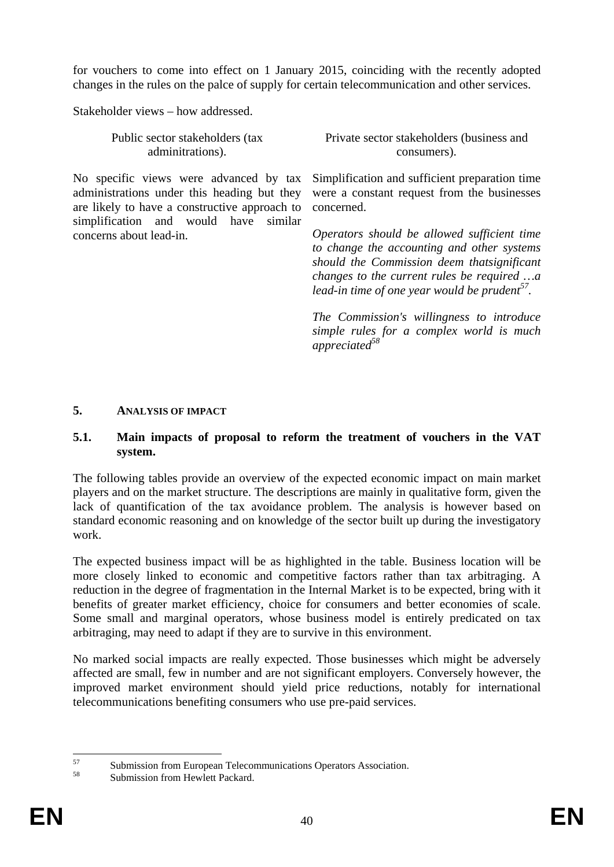for vouchers to come into effect on 1 January 2015, coinciding with the recently adopted changes in the rules on the palce of supply for certain telecommunication and other services.

Stakeholder views – how addressed.

| Public sector stakeholders (tax | Private sector stakeholders (business and |
|---------------------------------|-------------------------------------------|
| adminitrations).                | consumers).                               |

No specific views were advanced by tax administrations under this heading but they are likely to have a constructive approach to simplification and would have similar concerns about lead-in.

Simplification and sufficient preparation time were a constant request from the businesses concerned.

*Operators should be allowed sufficient time to change the accounting and other systems should the Commission deem thatsignificant changes to the current rules be required …a lead-in time of one year would be prudent57.* 

*The Commission's willingness to introduce simple rules for a complex world is much appreciated58*

#### <span id="page-39-0"></span>**5. ANALYSIS OF IMPACT**

#### <span id="page-39-1"></span>**5.1. Main impacts of proposal to reform the treatment of vouchers in the VAT system.**

The following tables provide an overview of the expected economic impact on main market players and on the market structure. The descriptions are mainly in qualitative form, given the lack of quantification of the tax avoidance problem. The analysis is however based on standard economic reasoning and on knowledge of the sector built up during the investigatory work.

The expected business impact will be as highlighted in the table. Business location will be more closely linked to economic and competitive factors rather than tax arbitraging. A reduction in the degree of fragmentation in the Internal Market is to be expected, bring with it benefits of greater market efficiency, choice for consumers and better economies of scale. Some small and marginal operators, whose business model is entirely predicated on tax arbitraging, may need to adapt if they are to survive in this environment.

No marked social impacts are really expected. Those businesses which might be adversely affected are small, few in number and are not significant employers. Conversely however, the improved market environment should yield price reductions, notably for international telecommunications benefiting consumers who use pre-paid services.

 $57$  $57$  Submission from European Telecommunications Operators Association.

Submission from Hewlett Packard.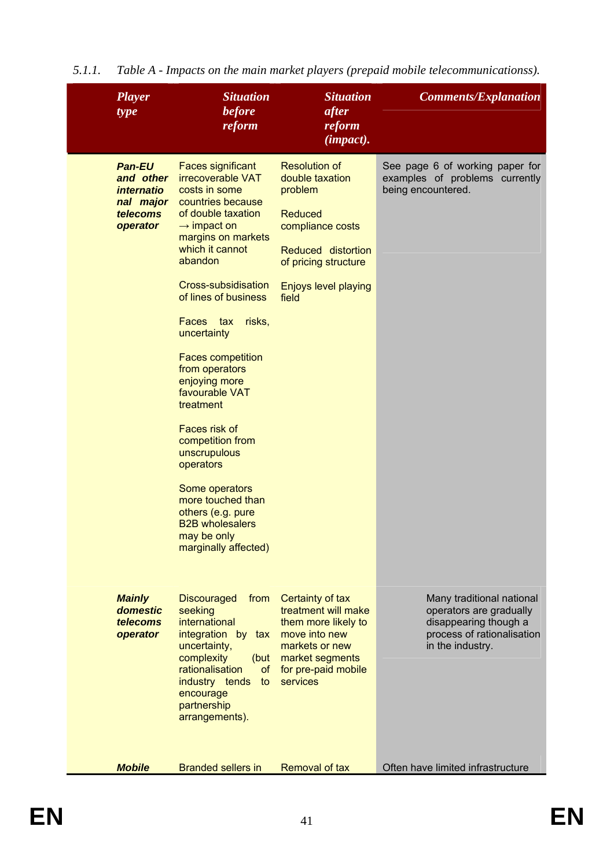| <b>Player</b><br>type                                                                       | <b>Situation</b><br><b>before</b><br>reform                                                                                                                                                                                                                                                                                                                                                                                                                                                                                                                                       | <b>Situation</b><br>after<br>reform<br>(impact).                                                                                                                        | <b>Comments/Explanation</b>                                                                                                     |
|---------------------------------------------------------------------------------------------|-----------------------------------------------------------------------------------------------------------------------------------------------------------------------------------------------------------------------------------------------------------------------------------------------------------------------------------------------------------------------------------------------------------------------------------------------------------------------------------------------------------------------------------------------------------------------------------|-------------------------------------------------------------------------------------------------------------------------------------------------------------------------|---------------------------------------------------------------------------------------------------------------------------------|
| <b>Pan-EU</b><br>and other<br><i>internatio</i><br>nal major<br><b>telecoms</b><br>operator | <b>Faces significant</b><br><b>irrecoverable VAT</b><br>costs in some<br>countries because<br>of double taxation<br>$\rightarrow$ impact on<br>margins on markets<br>which it cannot<br>abandon<br>Cross-subsidisation<br>of lines of business<br>Faces tax<br>risks,<br>uncertainty<br><b>Faces competition</b><br>from operators<br>enjoying more<br>favourable VAT<br>treatment<br>Faces risk of<br>competition from<br>unscrupulous<br>operators<br>Some operators<br>more touched than<br>others (e.g. pure<br><b>B2B</b> wholesalers<br>may be only<br>marginally affected) | <b>Resolution of</b><br>double taxation<br>problem<br><b>Reduced</b><br>compliance costs<br>Reduced distortion<br>of pricing structure<br>Enjoys level playing<br>field | See page 6 of working paper for<br>examples of problems currently<br>being encountered.                                         |
| <b>Mainly</b><br>domestic<br>telecoms<br>operator                                           | <b>Discouraged</b><br>from<br>seeking<br>international<br>integration by<br>tax<br>uncertainty,<br>complexity<br>(but<br>rationalisation<br>of<br>industry tends<br>to<br>encourage<br>partnership<br>arrangements).                                                                                                                                                                                                                                                                                                                                                              | Certainty of tax<br>treatment will make<br>them more likely to<br>move into new<br>markets or new<br>market segments<br>for pre-paid mobile<br>services                 | Many traditional national<br>operators are gradually<br>disappearing though a<br>process of rationalisation<br>in the industry. |
| <b>Mobile</b>                                                                               | <b>Branded sellers in</b>                                                                                                                                                                                                                                                                                                                                                                                                                                                                                                                                                         | <b>Removal of tax</b>                                                                                                                                                   | Often have limited infrastructure                                                                                               |

<span id="page-40-0"></span>*5.1.1. Table A - Impacts on the main market players (prepaid mobile telecommunicationss).*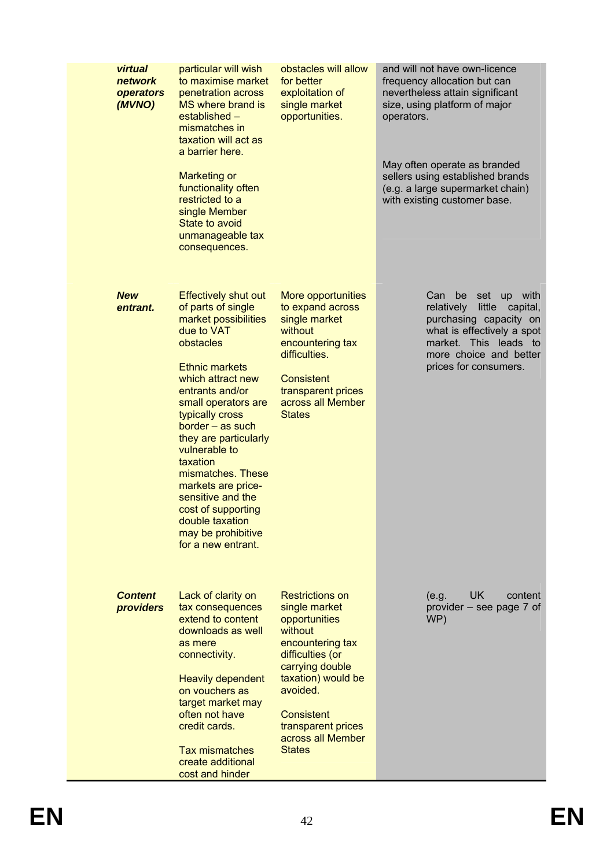| virtual<br>network<br>operators<br>(MVNO) | particular will wish<br>to maximise market<br>penetration across<br>MS where brand is<br>established -<br>mismatches in<br>taxation will act as<br>a barrier here.<br><b>Marketing or</b><br>functionality often<br>restricted to a<br>single Member<br>State to avoid<br>unmanageable tax<br>consequences.                                                                                                                                    | obstacles will allow<br>for better<br>exploitation of<br>single market<br>opportunities.                                                                                                                                                          | and will not have own-licence<br>frequency allocation but can<br>nevertheless attain significant<br>size, using platform of major<br>operators.<br>May often operate as branded<br>sellers using established brands<br>(e.g. a large supermarket chain)<br>with existing customer base. |
|-------------------------------------------|------------------------------------------------------------------------------------------------------------------------------------------------------------------------------------------------------------------------------------------------------------------------------------------------------------------------------------------------------------------------------------------------------------------------------------------------|---------------------------------------------------------------------------------------------------------------------------------------------------------------------------------------------------------------------------------------------------|-----------------------------------------------------------------------------------------------------------------------------------------------------------------------------------------------------------------------------------------------------------------------------------------|
| <b>New</b><br>entrant.                    | <b>Effectively shut out</b><br>of parts of single<br>market possibilities<br>due to VAT<br>obstacles<br><b>Ethnic markets</b><br>which attract new<br>entrants and/or<br>small operators are<br>typically cross<br>border - as such<br>they are particularly<br>vulnerable to<br>taxation<br>mismatches. These<br>markets are price-<br>sensitive and the<br>cost of supporting<br>double taxation<br>may be prohibitive<br>for a new entrant. | More opportunities<br>to expand across<br>single market<br>without<br>encountering tax<br>difficulties.<br><b>Consistent</b><br>transparent prices<br>across all Member<br><b>States</b>                                                          | Can be<br>set up with<br>relatively<br>little<br>capital,<br>purchasing capacity on<br>what is effectively a spot<br>market. This leads to<br>more choice and better<br>prices for consumers.                                                                                           |
| <b>Content</b><br>providers               | Lack of clarity on<br>tax consequences<br>extend to content<br>downloads as well<br>as mere<br>connectivity.<br><b>Heavily dependent</b><br>on vouchers as<br>target market may<br>often not have<br>credit cards.<br><b>Tax mismatches</b><br>create additional<br>cost and hinder                                                                                                                                                            | <b>Restrictions on</b><br>single market<br>opportunities<br>without<br>encountering tax<br>difficulties (or<br>carrying double<br>taxation) would be<br>avoided.<br><b>Consistent</b><br>transparent prices<br>across all Member<br><b>States</b> | <b>UK</b><br>(e.g.<br>content<br>provider – see page 7 of<br>WP)                                                                                                                                                                                                                        |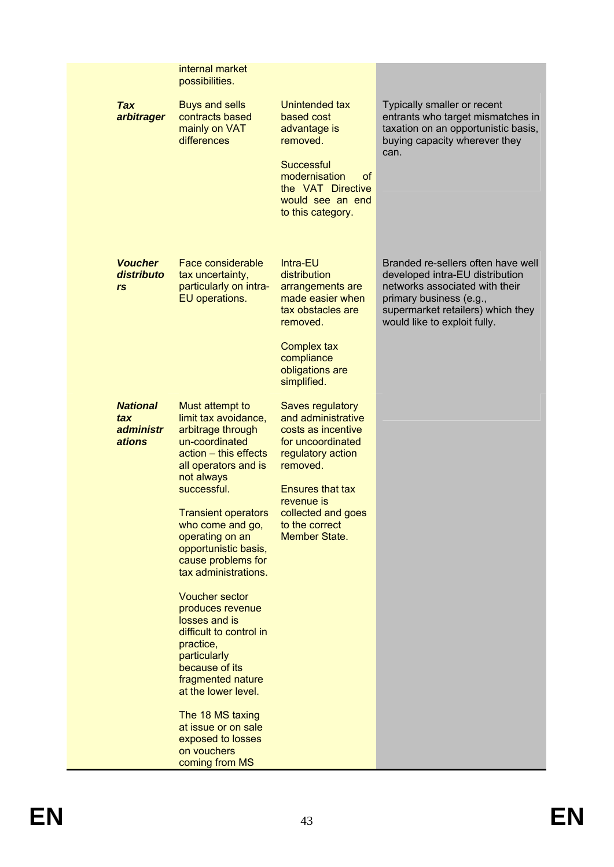|                                               | internal market<br>possibilities.                                                                                                                                                                                                                                                                                                                                                                                                                                                                                                                                                             |                                                                                                                                                                                                                             |                                                                                                                                                                                                         |
|-----------------------------------------------|-----------------------------------------------------------------------------------------------------------------------------------------------------------------------------------------------------------------------------------------------------------------------------------------------------------------------------------------------------------------------------------------------------------------------------------------------------------------------------------------------------------------------------------------------------------------------------------------------|-----------------------------------------------------------------------------------------------------------------------------------------------------------------------------------------------------------------------------|---------------------------------------------------------------------------------------------------------------------------------------------------------------------------------------------------------|
| <b>Tax</b><br>arbitrager                      | <b>Buys and sells</b><br>contracts based<br>mainly on VAT<br>differences                                                                                                                                                                                                                                                                                                                                                                                                                                                                                                                      | Unintended tax<br>based cost<br>advantage is<br>removed.<br><b>Successful</b><br>modernisation<br>οf<br>the VAT Directive<br>would see an end<br>to this category.                                                          | Typically smaller or recent<br>entrants who target mismatches in<br>taxation on an opportunistic basis,<br>buying capacity wherever they<br>can.                                                        |
| <b>Voucher</b><br>distributo<br>rs            | Face considerable<br>tax uncertainty,<br>particularly on intra-<br>EU operations.                                                                                                                                                                                                                                                                                                                                                                                                                                                                                                             | Intra-EU<br>distribution<br>arrangements are<br>made easier when<br>tax obstacles are<br>removed.<br><b>Complex tax</b><br>compliance<br>obligations are<br>simplified.                                                     | Branded re-sellers often have well<br>developed intra-EU distribution<br>networks associated with their<br>primary business (e.g.,<br>supermarket retailers) which they<br>would like to exploit fully. |
| <b>National</b><br>tax<br>administr<br>ations | Must attempt to<br>limit tax avoidance,<br>arbitrage through<br>un-coordinated<br>$actor - this effects$<br>all operators and is<br>not always<br>successful.<br><b>Transient operators</b><br>who come and go,<br>operating on an<br>opportunistic basis,<br>cause problems for<br>tax administrations.<br><b>Voucher sector</b><br>produces revenue<br>losses and is<br>difficult to control in<br>practice,<br>particularly<br>because of its<br>fragmented nature<br>at the lower level.<br>The 18 MS taxing<br>at issue or on sale<br>exposed to losses<br>on vouchers<br>coming from MS | Saves regulatory<br>and administrative<br>costs as incentive<br>for uncoordinated<br>regulatory action<br>removed.<br><b>Ensures that tax</b><br>revenue is<br>collected and goes<br>to the correct<br><b>Member State.</b> |                                                                                                                                                                                                         |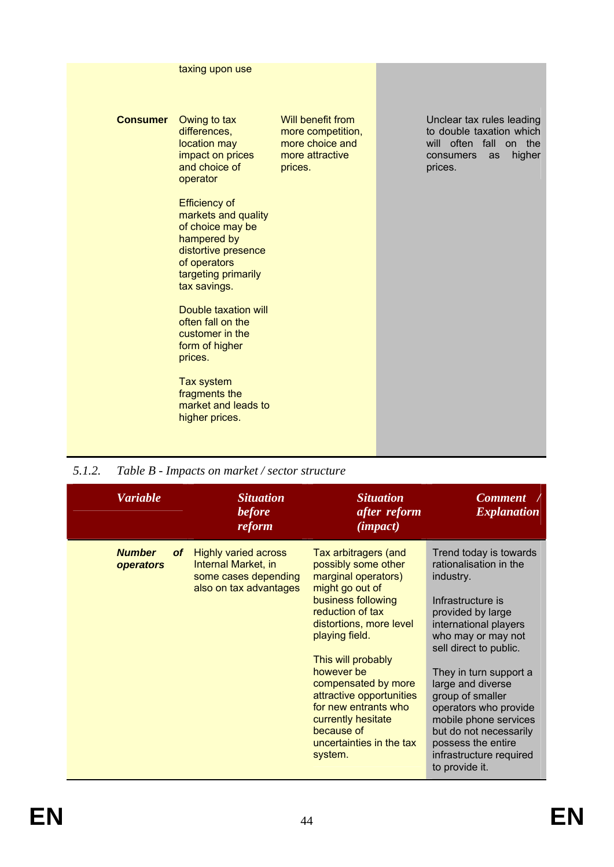<span id="page-43-0"></span>

|                 | taxing upon use                                                                                                                                                                                                                                                                                                                                                                                                                    |                                                                                         |                                                                                                               |        |
|-----------------|------------------------------------------------------------------------------------------------------------------------------------------------------------------------------------------------------------------------------------------------------------------------------------------------------------------------------------------------------------------------------------------------------------------------------------|-----------------------------------------------------------------------------------------|---------------------------------------------------------------------------------------------------------------|--------|
| <b>Consumer</b> | Owing to tax<br>differences,<br>location may<br>impact on prices<br>and choice of<br>operator<br><b>Efficiency of</b><br>markets and quality<br>of choice may be<br>hampered by<br>distortive presence<br>of operators<br>targeting primarily<br>tax savings.<br>Double taxation will<br>often fall on the<br>customer in the<br>form of higher<br>prices.<br>Tax system<br>fragments the<br>market and leads to<br>higher prices. | Will benefit from<br>more competition,<br>more choice and<br>more attractive<br>prices. | Unclear tax rules leading<br>to double taxation which<br>will often fall on the<br>consumers<br>as<br>prices. | higher |
|                 |                                                                                                                                                                                                                                                                                                                                                                                                                                    |                                                                                         |                                                                                                               |        |

*5.1.2. Table B - Impacts on market / sector structure* 

| <b>Variable</b>                         | <b>Situation</b><br><b>before</b><br>reform                                                                 | <b>Situation</b><br>after reform<br>( <i>impact</i> )                                                                                                                                                                                                                                                                                                                  | <b>Comment</b><br><i><b>Explanation</b></i>                                                                                                                                                                                                                                                                                                                                                        |
|-----------------------------------------|-------------------------------------------------------------------------------------------------------------|------------------------------------------------------------------------------------------------------------------------------------------------------------------------------------------------------------------------------------------------------------------------------------------------------------------------------------------------------------------------|----------------------------------------------------------------------------------------------------------------------------------------------------------------------------------------------------------------------------------------------------------------------------------------------------------------------------------------------------------------------------------------------------|
| <b>Number</b><br><b>of</b><br>operators | <b>Highly varied across</b><br><b>Internal Market, in</b><br>some cases depending<br>also on tax advantages | Tax arbitragers (and<br>possibly some other<br>marginal operators)<br>might go out of<br>business following<br>reduction of tax<br>distortions, more level<br>playing field.<br>This will probably<br>however be<br>compensated by more<br>attractive opportunities<br>for new entrants who<br>currently hesitate<br>because of<br>uncertainties in the tax<br>system. | Trend today is towards<br>rationalisation in the<br>industry.<br>Infrastructure is<br>provided by large<br>international players<br>who may or may not<br>sell direct to public.<br>They in turn support a<br>large and diverse<br>group of smaller<br>operators who provide<br>mobile phone services<br>but do not necessarily<br>possess the entire<br>infrastructure required<br>to provide it. |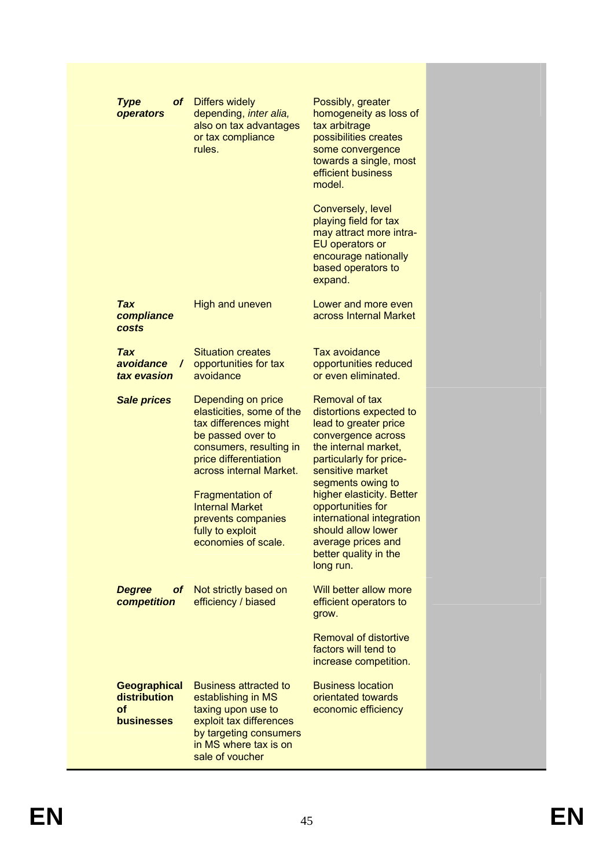| <b>Type</b><br>operators                                       | of Differs widely<br>depending, inter alia,<br>also on tax advantages<br>or tax compliance<br>rules.                                                                                                                                                                                               | Possibly, greater<br>homogeneity as loss of<br>tax arbitrage<br>possibilities creates<br>some convergence<br>towards a single, most<br>efficient business<br>model.<br>Conversely, level<br>playing field for tax<br>may attract more intra-<br>EU operators or<br>encourage nationally<br>based operators to<br>expand.                              |  |
|----------------------------------------------------------------|----------------------------------------------------------------------------------------------------------------------------------------------------------------------------------------------------------------------------------------------------------------------------------------------------|-------------------------------------------------------------------------------------------------------------------------------------------------------------------------------------------------------------------------------------------------------------------------------------------------------------------------------------------------------|--|
| <b>Tax</b><br>compliance<br>costs                              | <b>High and uneven</b>                                                                                                                                                                                                                                                                             | Lower and more even<br>across Internal Market                                                                                                                                                                                                                                                                                                         |  |
| <b>Tax</b><br>avoidance<br>$\prime$<br>tax evasion             | <b>Situation creates</b><br>opportunities for tax<br>avoidance                                                                                                                                                                                                                                     | <b>Tax avoidance</b><br>opportunities reduced<br>or even eliminated.                                                                                                                                                                                                                                                                                  |  |
| <b>Sale prices</b>                                             | Depending on price<br>elasticities, some of the<br>tax differences might<br>be passed over to<br>consumers, resulting in<br>price differentiation<br>across internal Market.<br><b>Fragmentation of</b><br><b>Internal Market</b><br>prevents companies<br>fully to exploit<br>economies of scale. | Removal of tax<br>distortions expected to<br>lead to greater price<br>convergence across<br>the internal market,<br>particularly for price-<br>sensitive market<br>segments owing to<br>higher elasticity. Better<br>opportunities for<br>international integration<br>should allow lower<br>average prices and<br>better quality in the<br>long run. |  |
| <b>Degree</b><br>of .<br>competition                           | Not strictly based on<br>efficiency / biased                                                                                                                                                                                                                                                       | Will better allow more<br>efficient operators to<br>grow.<br><b>Removal of distortive</b><br>factors will tend to<br>increase competition.                                                                                                                                                                                                            |  |
| <b>Geographical</b><br>distribution<br>of<br><b>businesses</b> | <b>Business attracted to</b><br>establishing in MS<br>taxing upon use to<br>exploit tax differences<br>by targeting consumers<br>in MS where tax is on<br>sale of voucher                                                                                                                          | <b>Business location</b><br>orientated towards<br>economic efficiency                                                                                                                                                                                                                                                                                 |  |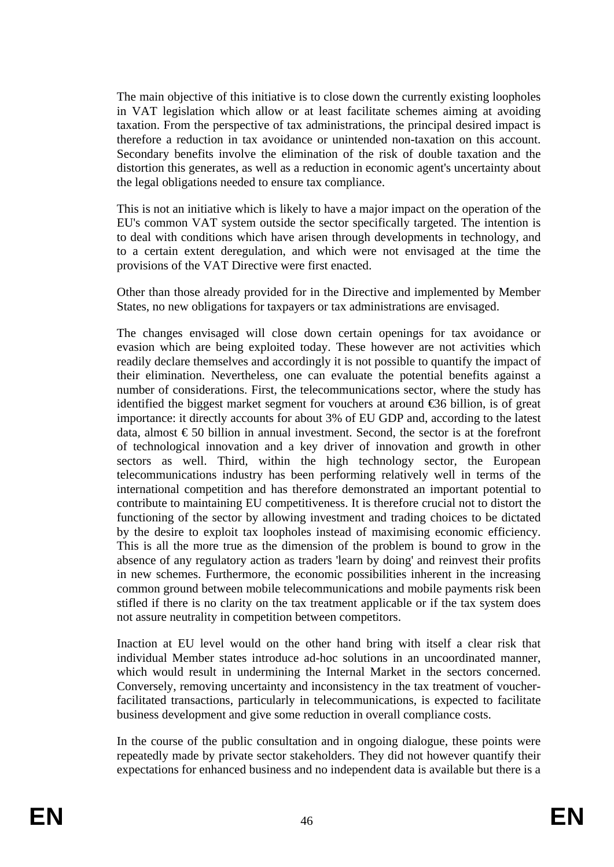The main objective of this initiative is to close down the currently existing loopholes in VAT legislation which allow or at least facilitate schemes aiming at avoiding taxation. From the perspective of tax administrations, the principal desired impact is therefore a reduction in tax avoidance or unintended non-taxation on this account. Secondary benefits involve the elimination of the risk of double taxation and the distortion this generates, as well as a reduction in economic agent's uncertainty about the legal obligations needed to ensure tax compliance.

This is not an initiative which is likely to have a major impact on the operation of the EU's common VAT system outside the sector specifically targeted. The intention is to deal with conditions which have arisen through developments in technology, and to a certain extent deregulation, and which were not envisaged at the time the provisions of the VAT Directive were first enacted.

Other than those already provided for in the Directive and implemented by Member States, no new obligations for taxpayers or tax administrations are envisaged.

The changes envisaged will close down certain openings for tax avoidance or evasion which are being exploited today. These however are not activities which readily declare themselves and accordingly it is not possible to quantify the impact of their elimination. Nevertheless, one can evaluate the potential benefits against a number of considerations. First, the telecommunications sector, where the study has identified the biggest market segment for vouchers at around €36 billion, is of great importance: it directly accounts for about 3% of EU GDP and, according to the latest data, almost  $\epsilon$  50 billion in annual investment. Second, the sector is at the forefront of technological innovation and a key driver of innovation and growth in other sectors as well. Third, within the high technology sector, the European telecommunications industry has been performing relatively well in terms of the international competition and has therefore demonstrated an important potential to contribute to maintaining EU competitiveness. It is therefore crucial not to distort the functioning of the sector by allowing investment and trading choices to be dictated by the desire to exploit tax loopholes instead of maximising economic efficiency. This is all the more true as the dimension of the problem is bound to grow in the absence of any regulatory action as traders 'learn by doing' and reinvest their profits in new schemes. Furthermore, the economic possibilities inherent in the increasing common ground between mobile telecommunications and mobile payments risk been stifled if there is no clarity on the tax treatment applicable or if the tax system does not assure neutrality in competition between competitors.

Inaction at EU level would on the other hand bring with itself a clear risk that individual Member states introduce ad-hoc solutions in an uncoordinated manner, which would result in undermining the Internal Market in the sectors concerned. Conversely, removing uncertainty and inconsistency in the tax treatment of voucherfacilitated transactions, particularly in telecommunications, is expected to facilitate business development and give some reduction in overall compliance costs.

In the course of the public consultation and in ongoing dialogue, these points were repeatedly made by private sector stakeholders. They did not however quantify their expectations for enhanced business and no independent data is available but there is a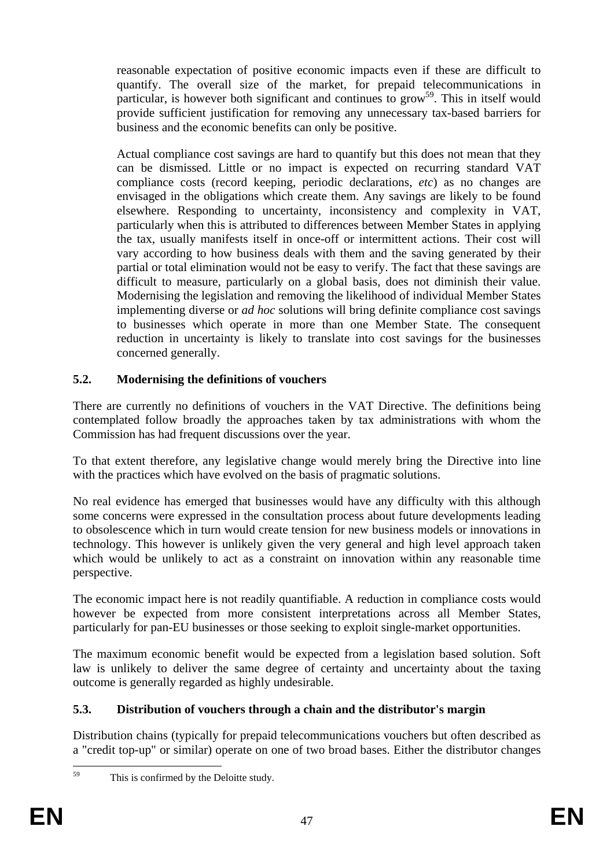reasonable expectation of positive economic impacts even if these are difficult to quantify. The overall size of the market, for prepaid telecommunications in particular, is however both significant and continues to grow<sup>59</sup>. This in itself would provide sufficient justification for removing any unnecessary tax-based barriers for business and the economic benefits can only be positive.

Actual compliance cost savings are hard to quantify but this does not mean that they can be dismissed. Little or no impact is expected on recurring standard VAT compliance costs (record keeping, periodic declarations, *etc*) as no changes are envisaged in the obligations which create them. Any savings are likely to be found elsewhere. Responding to uncertainty, inconsistency and complexity in VAT, particularly when this is attributed to differences between Member States in applying the tax, usually manifests itself in once-off or intermittent actions. Their cost will vary according to how business deals with them and the saving generated by their partial or total elimination would not be easy to verify. The fact that these savings are difficult to measure, particularly on a global basis, does not diminish their value. Modernising the legislation and removing the likelihood of individual Member States implementing diverse or *ad hoc* solutions will bring definite compliance cost savings to businesses which operate in more than one Member State. The consequent reduction in uncertainty is likely to translate into cost savings for the businesses concerned generally.

# <span id="page-46-0"></span>**5.2. Modernising the definitions of vouchers**

There are currently no definitions of vouchers in the VAT Directive. The definitions being contemplated follow broadly the approaches taken by tax administrations with whom the Commission has had frequent discussions over the year.

To that extent therefore, any legislative change would merely bring the Directive into line with the practices which have evolved on the basis of pragmatic solutions.

No real evidence has emerged that businesses would have any difficulty with this although some concerns were expressed in the consultation process about future developments leading to obsolescence which in turn would create tension for new business models or innovations in technology. This however is unlikely given the very general and high level approach taken which would be unlikely to act as a constraint on innovation within any reasonable time perspective.

The economic impact here is not readily quantifiable. A reduction in compliance costs would however be expected from more consistent interpretations across all Member States, particularly for pan-EU businesses or those seeking to exploit single-market opportunities.

The maximum economic benefit would be expected from a legislation based solution. Soft law is unlikely to deliver the same degree of certainty and uncertainty about the taxing outcome is generally regarded as highly undesirable.

# <span id="page-46-1"></span>**5.3. Distribution of vouchers through a chain and the distributor's margin**

Distribution chains (typically for prepaid telecommunications vouchers but often described as a "credit top-up" or similar) operate on one of two broad bases. Either the distributor changes

<sup>59</sup> This is confirmed by the Deloitte study.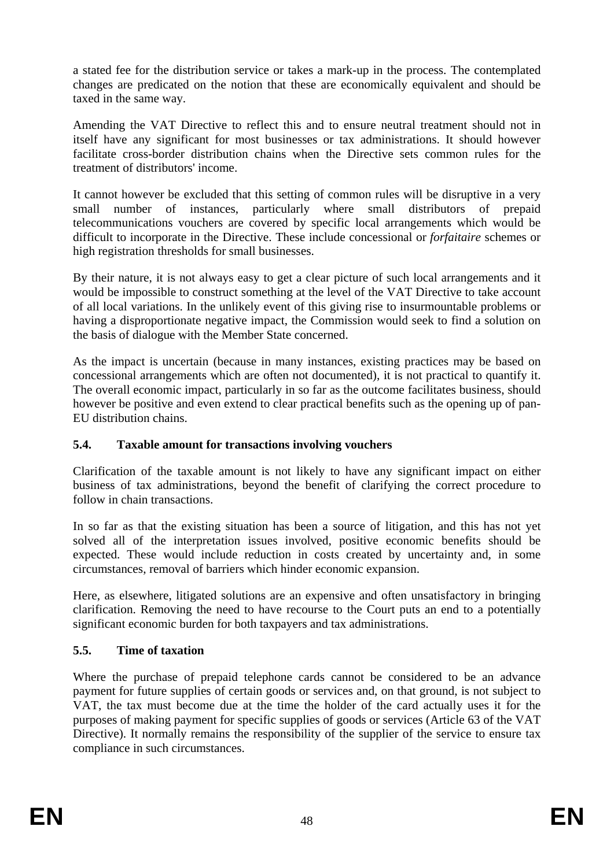a stated fee for the distribution service or takes a mark-up in the process. The contemplated changes are predicated on the notion that these are economically equivalent and should be taxed in the same way.

Amending the VAT Directive to reflect this and to ensure neutral treatment should not in itself have any significant for most businesses or tax administrations. It should however facilitate cross-border distribution chains when the Directive sets common rules for the treatment of distributors' income.

It cannot however be excluded that this setting of common rules will be disruptive in a very small number of instances, particularly where small distributors of prepaid telecommunications vouchers are covered by specific local arrangements which would be difficult to incorporate in the Directive. These include concessional or *forfaitaire* schemes or high registration thresholds for small businesses.

By their nature, it is not always easy to get a clear picture of such local arrangements and it would be impossible to construct something at the level of the VAT Directive to take account of all local variations. In the unlikely event of this giving rise to insurmountable problems or having a disproportionate negative impact, the Commission would seek to find a solution on the basis of dialogue with the Member State concerned.

As the impact is uncertain (because in many instances, existing practices may be based on concessional arrangements which are often not documented), it is not practical to quantify it. The overall economic impact, particularly in so far as the outcome facilitates business, should however be positive and even extend to clear practical benefits such as the opening up of pan-EU distribution chains.

# <span id="page-47-0"></span>**5.4. Taxable amount for transactions involving vouchers**

Clarification of the taxable amount is not likely to have any significant impact on either business of tax administrations, beyond the benefit of clarifying the correct procedure to follow in chain transactions.

In so far as that the existing situation has been a source of litigation, and this has not yet solved all of the interpretation issues involved, positive economic benefits should be expected. These would include reduction in costs created by uncertainty and, in some circumstances, removal of barriers which hinder economic expansion.

Here, as elsewhere, litigated solutions are an expensive and often unsatisfactory in bringing clarification. Removing the need to have recourse to the Court puts an end to a potentially significant economic burden for both taxpayers and tax administrations.

# <span id="page-47-1"></span>**5.5. Time of taxation**

Where the purchase of prepaid telephone cards cannot be considered to be an advance payment for future supplies of certain goods or services and, on that ground, is not subject to VAT, the tax must become due at the time the holder of the card actually uses it for the purposes of making payment for specific supplies of goods or services (Article 63 of the VAT Directive). It normally remains the responsibility of the supplier of the service to ensure tax compliance in such circumstances.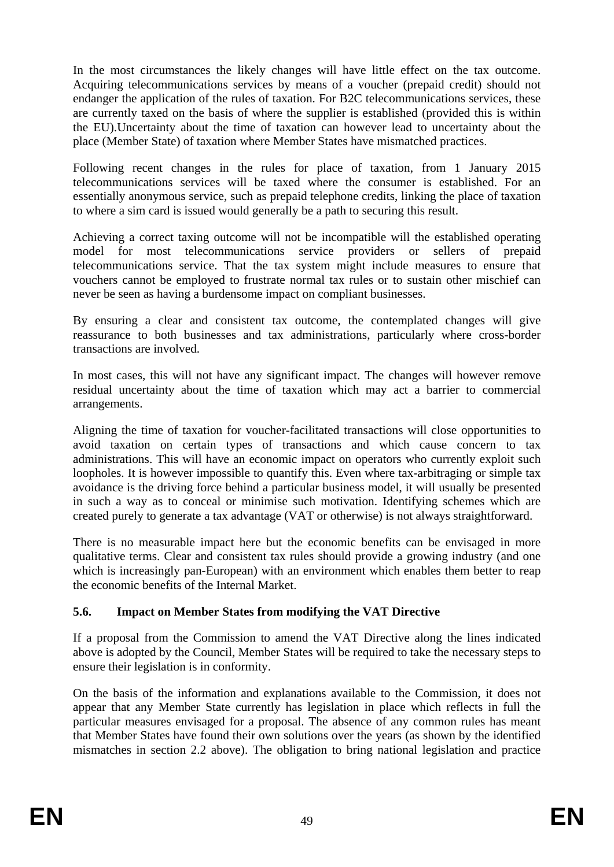In the most circumstances the likely changes will have little effect on the tax outcome. Acquiring telecommunications services by means of a voucher (prepaid credit) should not endanger the application of the rules of taxation. For B2C telecommunications services, these are currently taxed on the basis of where the supplier is established (provided this is within the EU).Uncertainty about the time of taxation can however lead to uncertainty about the place (Member State) of taxation where Member States have mismatched practices.

Following recent changes in the rules for place of taxation, from 1 January 2015 telecommunications services will be taxed where the consumer is established. For an essentially anonymous service, such as prepaid telephone credits, linking the place of taxation to where a sim card is issued would generally be a path to securing this result.

Achieving a correct taxing outcome will not be incompatible will the established operating model for most telecommunications service providers or sellers of prepaid telecommunications service. That the tax system might include measures to ensure that vouchers cannot be employed to frustrate normal tax rules or to sustain other mischief can never be seen as having a burdensome impact on compliant businesses.

By ensuring a clear and consistent tax outcome, the contemplated changes will give reassurance to both businesses and tax administrations, particularly where cross-border transactions are involved.

In most cases, this will not have any significant impact. The changes will however remove residual uncertainty about the time of taxation which may act a barrier to commercial arrangements.

Aligning the time of taxation for voucher-facilitated transactions will close opportunities to avoid taxation on certain types of transactions and which cause concern to tax administrations. This will have an economic impact on operators who currently exploit such loopholes. It is however impossible to quantify this. Even where tax-arbitraging or simple tax avoidance is the driving force behind a particular business model, it will usually be presented in such a way as to conceal or minimise such motivation. Identifying schemes which are created purely to generate a tax advantage (VAT or otherwise) is not always straightforward.

There is no measurable impact here but the economic benefits can be envisaged in more qualitative terms. Clear and consistent tax rules should provide a growing industry (and one which is increasingly pan-European) with an environment which enables them better to reap the economic benefits of the Internal Market.

# **5.6. Impact on Member States from modifying the VAT Directive**

If a proposal from the Commission to amend the VAT Directive along the lines indicated above is adopted by the Council, Member States will be required to take the necessary steps to ensure their legislation is in conformity.

On the basis of the information and explanations available to the Commission, it does not appear that any Member State currently has legislation in place which reflects in full the particular measures envisaged for a proposal. The absence of any common rules has meant that Member States have found their own solutions over the years (as shown by the identified mismatches in section 2.2 above). The obligation to bring national legislation and practice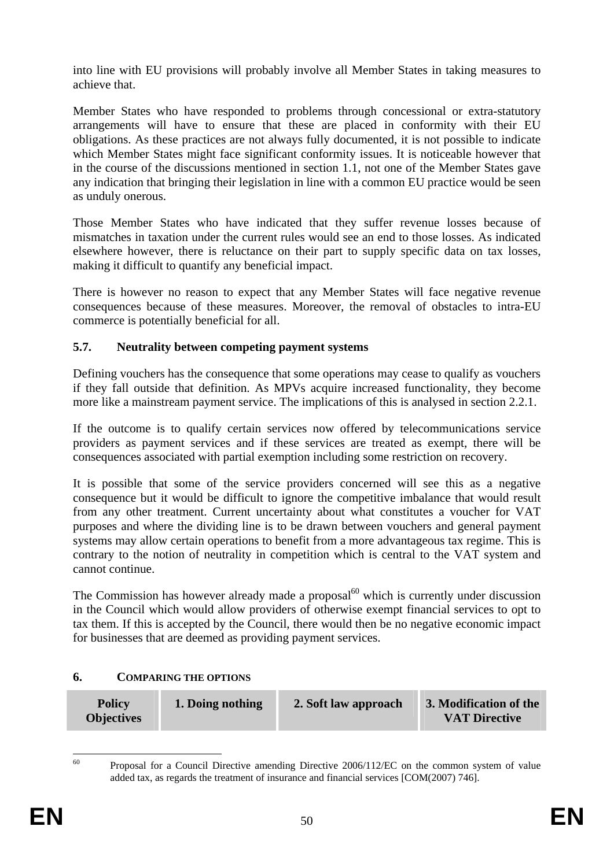into line with EU provisions will probably involve all Member States in taking measures to achieve that.

Member States who have responded to problems through concessional or extra-statutory arrangements will have to ensure that these are placed in conformity with their EU obligations. As these practices are not always fully documented, it is not possible to indicate which Member States might face significant conformity issues. It is noticeable however that in the course of the discussions mentioned in section 1.1, not one of the Member States gave any indication that bringing their legislation in line with a common EU practice would be seen as unduly onerous.

Those Member States who have indicated that they suffer revenue losses because of mismatches in taxation under the current rules would see an end to those losses. As indicated elsewhere however, there is reluctance on their part to supply specific data on tax losses, making it difficult to quantify any beneficial impact.

There is however no reason to expect that any Member States will face negative revenue consequences because of these measures. Moreover, the removal of obstacles to intra-EU commerce is potentially beneficial for all.

### **5.7. Neutrality between competing payment systems**

Defining vouchers has the consequence that some operations may cease to qualify as vouchers if they fall outside that definition. As MPVs acquire increased functionality, they become more like a mainstream payment service. The implications of this is analysed in section 2.2.1.

If the outcome is to qualify certain services now offered by telecommunications service providers as payment services and if these services are treated as exempt, there will be consequences associated with partial exemption including some restriction on recovery.

It is possible that some of the service providers concerned will see this as a negative consequence but it would be difficult to ignore the competitive imbalance that would result from any other treatment. Current uncertainty about what constitutes a voucher for VAT purposes and where the dividing line is to be drawn between vouchers and general payment systems may allow certain operations to benefit from a more advantageous tax regime. This is contrary to the notion of neutrality in competition which is central to the VAT system and cannot continue.

<span id="page-49-0"></span>The Commission has however already made a proposal $^{60}$  which is currently under discussion in the Council which would allow providers of otherwise exempt financial services to opt to tax them. If this is accepted by the Council, there would then be no negative economic impact for businesses that are deemed as providing payment services.

### <span id="page-49-1"></span>**6. COMPARING THE OPTIONS**

| <b>Policy</b>     | 1. Doing nothing | 2. Soft law approach | 3. Modification of the |
|-------------------|------------------|----------------------|------------------------|
| <b>Objectives</b> |                  |                      | <b>VAT Directive</b>   |

 $60^{\circ}$ 

<sup>60</sup> Proposal for a Council Directive amending Directive 2006/112/EC on the common system of value added tax, as regards the treatment of insurance and financial services [COM(2007) 746].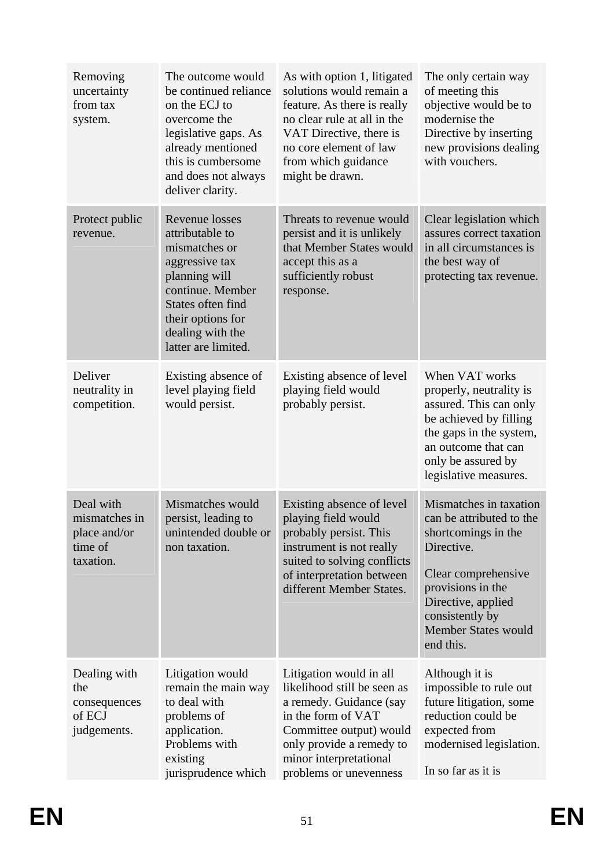| Removing<br>uncertainty<br>from tax<br>system.                     | The outcome would<br>be continued reliance<br>on the ECJ to<br>overcome the<br>legislative gaps. As<br>already mentioned<br>this is cumbersome<br>and does not always<br>deliver clarity.             | As with option 1, litigated<br>solutions would remain a<br>feature. As there is really<br>no clear rule at all in the<br>VAT Directive, there is<br>no core element of law<br>from which guidance<br>might be drawn. | The only certain way<br>of meeting this<br>objective would be to<br>modernise the<br>Directive by inserting<br>new provisions dealing<br>with vouchers.                                                                 |
|--------------------------------------------------------------------|-------------------------------------------------------------------------------------------------------------------------------------------------------------------------------------------------------|----------------------------------------------------------------------------------------------------------------------------------------------------------------------------------------------------------------------|-------------------------------------------------------------------------------------------------------------------------------------------------------------------------------------------------------------------------|
| Protect public<br>revenue.                                         | <b>Revenue losses</b><br>attributable to<br>mismatches or<br>aggressive tax<br>planning will<br>continue. Member<br>States often find<br>their options for<br>dealing with the<br>latter are limited. | Threats to revenue would<br>persist and it is unlikely<br>that Member States would<br>accept this as a<br>sufficiently robust<br>response.                                                                           | Clear legislation which<br>assures correct taxation<br>in all circumstances is<br>the best way of<br>protecting tax revenue.                                                                                            |
| Deliver<br>neutrality in<br>competition.                           | Existing absence of<br>level playing field<br>would persist.                                                                                                                                          | Existing absence of level<br>playing field would<br>probably persist.                                                                                                                                                | When VAT works<br>properly, neutrality is<br>assured. This can only<br>be achieved by filling<br>the gaps in the system,<br>an outcome that can<br>only be assured by<br>legislative measures.                          |
| Deal with<br>mismatches in<br>place and/or<br>time of<br>taxation. | Mismatches would<br>persist, leading to<br>unintended double or<br>non taxation.                                                                                                                      | Existing absence of level<br>playing field would<br>probably persist. This<br>instrument is not really<br>suited to solving conflicts<br>of interpretation between<br>different Member States.                       | Mismatches in taxation<br>can be attributed to the<br>shortcomings in the<br>Directive.<br>Clear comprehensive<br>provisions in the<br>Directive, applied<br>consistently by<br><b>Member States would</b><br>end this. |
| Dealing with<br>the<br>consequences<br>of ECJ<br>judgements.       | Litigation would<br>remain the main way<br>to deal with<br>problems of<br>application.<br>Problems with<br>existing<br>jurisprudence which                                                            | Litigation would in all<br>likelihood still be seen as<br>a remedy. Guidance (say<br>in the form of VAT<br>Committee output) would<br>only provide a remedy to<br>minor interpretational<br>problems or unevenness   | Although it is<br>impossible to rule out<br>future litigation, some<br>reduction could be<br>expected from<br>modernised legislation.<br>In so far as it is                                                             |